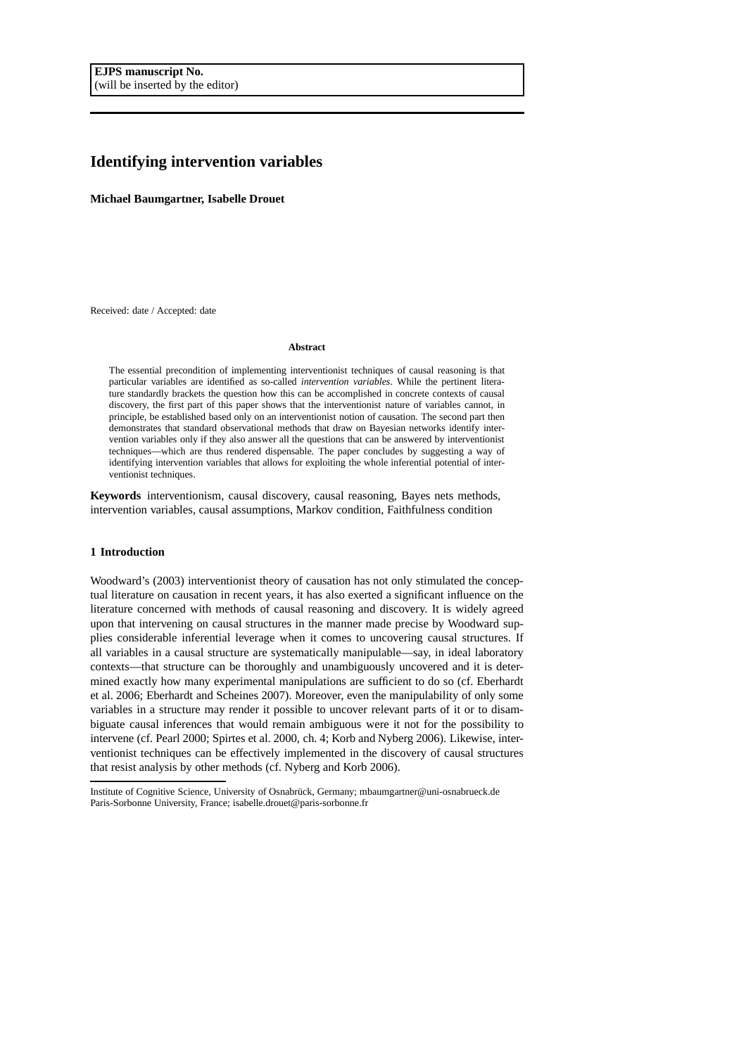# **Identifying intervention variables**

**Michael Baumgartner, Isabelle Drouet**

Received: date / Accepted: date

## **Abstract**

The essential precondition of implementing interventionist techniques of causal reasoning is that particular variables are identified as so-called *intervention variables*. While the pertinent literature standardly brackets the question how this can be accomplished in concrete contexts of causal discovery, the first part of this paper shows that the interventionist nature of variables cannot, in principle, be established based only on an interventionist notion of causation. The second part then demonstrates that standard observational methods that draw on Bayesian networks identify intervention variables only if they also answer all the questions that can be answered by interventionist techniques—which are thus rendered dispensable. The paper concludes by suggesting a way of identifying intervention variables that allows for exploiting the whole inferential potential of interventionist techniques.

**Keywords** interventionism, causal discovery, causal reasoning, Bayes nets methods, intervention variables, causal assumptions, Markov condition, Faithfulness condition

# **1 Introduction**

Woodward's (2003) interventionist theory of causation has not only stimulated the conceptual literature on causation in recent years, it has also exerted a significant influence on the literature concerned with methods of causal reasoning and discovery. It is widely agreed upon that intervening on causal structures in the manner made precise by Woodward supplies considerable inferential leverage when it comes to uncovering causal structures. If all variables in a causal structure are systematically manipulable—say, in ideal laboratory contexts—that structure can be thoroughly and unambiguously uncovered and it is determined exactly how many experimental manipulations are sufficient to do so (cf. Eberhardt et al. 2006; Eberhardt and Scheines 2007). Moreover, even the manipulability of only some variables in a structure may render it possible to uncover relevant parts of it or to disambiguate causal inferences that would remain ambiguous were it not for the possibility to intervene (cf. Pearl 2000; Spirtes et al. 2000, ch. 4; Korb and Nyberg 2006). Likewise, interventionist techniques can be effectively implemented in the discovery of causal structures that resist analysis by other methods (cf. Nyberg and Korb 2006).

Institute of Cognitive Science, University of Osnabrück, Germany; mbaumgartner@uni-osnabrueck.de Paris-Sorbonne University, France; isabelle.drouet@paris-sorbonne.fr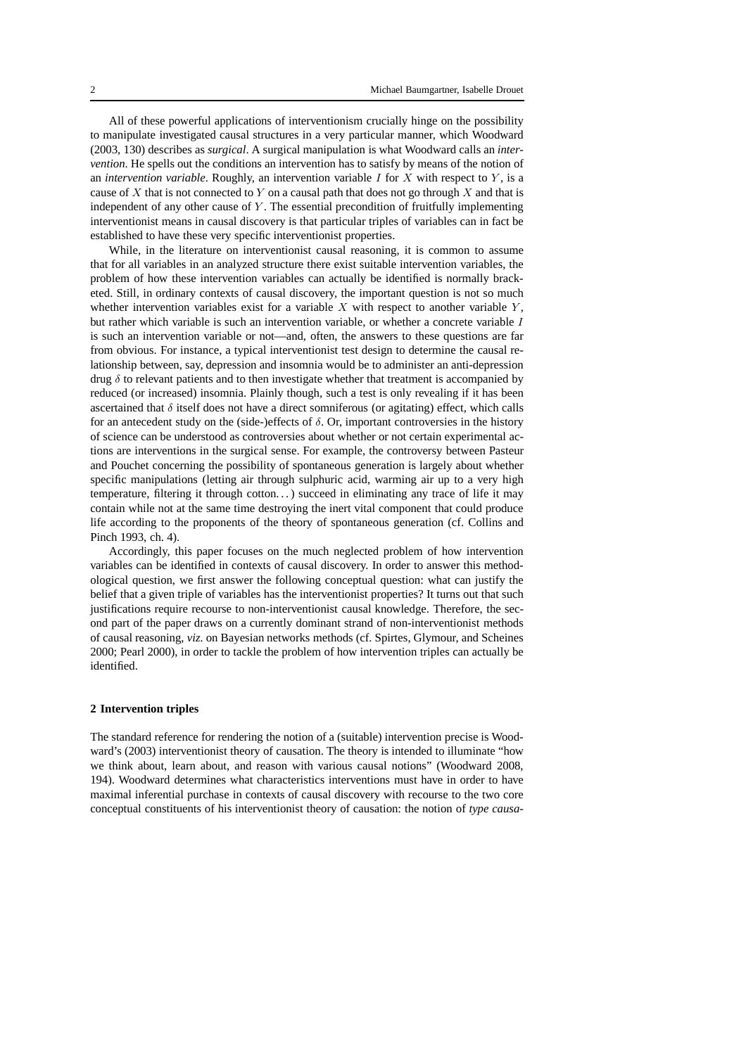All of these powerful applications of interventionism crucially hinge on the possibility to manipulate investigated causal structures in a very particular manner, which Woodward (2003, 130) describes as *surgical*. A surgical manipulation is what Woodward calls an *intervention*. He spells out the conditions an intervention has to satisfy by means of the notion of an *intervention variable*. Roughly, an intervention variable I for X with respect to Y , is a cause of X that is not connected to Y on a causal path that does not go through X and that is independent of any other cause of Y. The essential precondition of fruitfully implementing interventionist means in causal discovery is that particular triples of variables can in fact be established to have these very specific interventionist properties.

While, in the literature on interventionist causal reasoning, it is common to assume that for all variables in an analyzed structure there exist suitable intervention variables, the problem of how these intervention variables can actually be identified is normally bracketed. Still, in ordinary contexts of causal discovery, the important question is not so much whether intervention variables exist for a variable  $X$  with respect to another variable  $Y$ , but rather which variable is such an intervention variable, or whether a concrete variable I is such an intervention variable or not—and, often, the answers to these questions are far from obvious. For instance, a typical interventionist test design to determine the causal relationship between, say, depression and insomnia would be to administer an anti-depression drug  $\delta$  to relevant patients and to then investigate whether that treatment is accompanied by reduced (or increased) insomnia. Plainly though, such a test is only revealing if it has been ascertained that  $\delta$  itself does not have a direct somniferous (or agitating) effect, which calls for an antecedent study on the (side-)effects of  $\delta$ . Or, important controversies in the history of science can be understood as controversies about whether or not certain experimental actions are interventions in the surgical sense. For example, the controversy between Pasteur and Pouchet concerning the possibility of spontaneous generation is largely about whether specific manipulations (letting air through sulphuric acid, warming air up to a very high temperature, filtering it through cotton. . . ) succeed in eliminating any trace of life it may contain while not at the same time destroying the inert vital component that could produce life according to the proponents of the theory of spontaneous generation (cf. Collins and Pinch 1993, ch. 4).

Accordingly, this paper focuses on the much neglected problem of how intervention variables can be identified in contexts of causal discovery. In order to answer this methodological question, we first answer the following conceptual question: what can justify the belief that a given triple of variables has the interventionist properties? It turns out that such justifications require recourse to non-interventionist causal knowledge. Therefore, the second part of the paper draws on a currently dominant strand of non-interventionist methods of causal reasoning, *viz.* on Bayesian networks methods (cf. Spirtes, Glymour, and Scheines 2000; Pearl 2000), in order to tackle the problem of how intervention triples can actually be identified.

## **2 Intervention triples**

The standard reference for rendering the notion of a (suitable) intervention precise is Woodward's (2003) interventionist theory of causation. The theory is intended to illuminate "how we think about, learn about, and reason with various causal notions" (Woodward 2008, 194). Woodward determines what characteristics interventions must have in order to have maximal inferential purchase in contexts of causal discovery with recourse to the two core conceptual constituents of his interventionist theory of causation: the notion of *type causa-*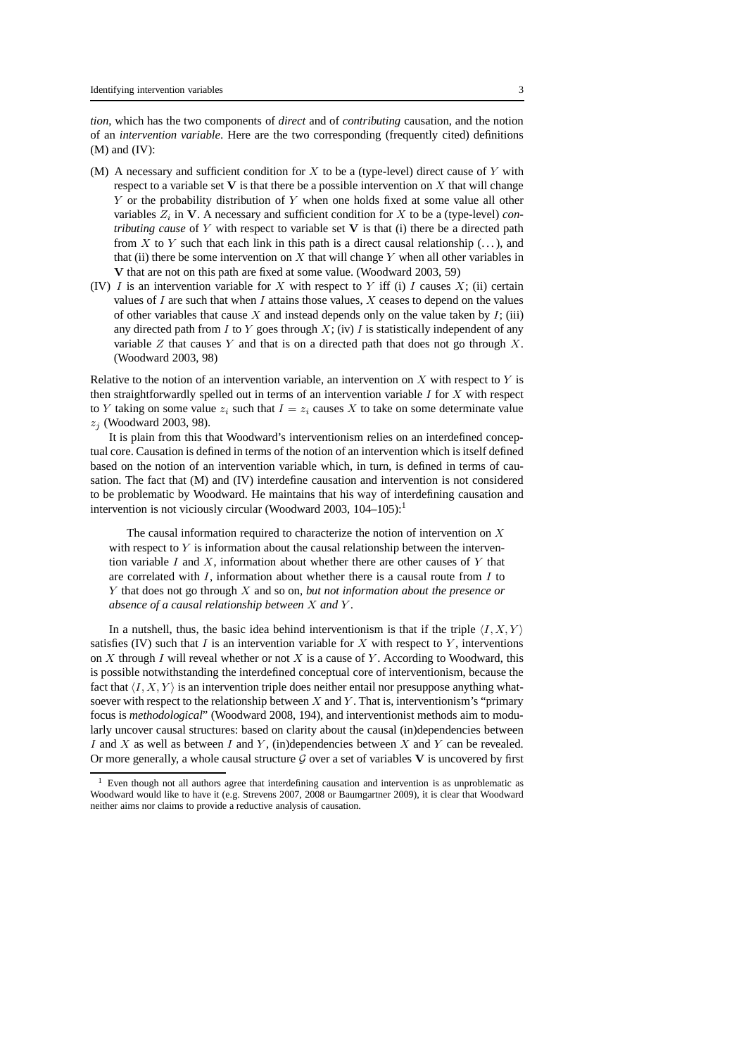*tion*, which has the two components of *direct* and of *contributing* causation, and the notion of an *intervention variable*. Here are the two corresponding (frequently cited) definitions  $(M)$  and  $(IV)$ :

- (M) A necessary and sufficient condition for  $X$  to be a (type-level) direct cause of  $Y$  with respect to a variable set  $V$  is that there be a possible intervention on  $X$  that will change Y or the probability distribution of Y when one holds fixed at some value all other variables  $Z_i$  in  $V$ . A necessary and sufficient condition for  $X$  to be a (type-level) *contributing cause* of Y with respect to variable set V is that (i) there be a directed path from X to Y such that each link in this path is a direct causal relationship  $(\dots)$ , and that (ii) there be some intervention on X that will change Y when all other variables in V that are not on this path are fixed at some value. (Woodward 2003, 59)
- (IV) I is an intervention variable for X with respect to Y iff (i) I causes  $X$ ; (ii) certain values of  $I$  are such that when  $I$  attains those values,  $X$  ceases to depend on the values of other variables that cause X and instead depends only on the value taken by  $I$ ; (iii) any directed path from I to Y goes through  $X$ ; (iv) I is statistically independent of any variable  $Z$  that causes  $Y$  and that is on a directed path that does not go through  $X$ . (Woodward 2003, 98)

Relative to the notion of an intervention variable, an intervention on  $X$  with respect to  $Y$  is then straightforwardly spelled out in terms of an intervention variable  $I$  for  $X$  with respect to Y taking on some value  $z_i$  such that  $I = z_i$  causes X to take on some determinate value  $z_i$  (Woodward 2003, 98).

It is plain from this that Woodward's interventionism relies on an interdefined conceptual core. Causation is defined in terms of the notion of an intervention which is itself defined based on the notion of an intervention variable which, in turn, is defined in terms of causation. The fact that (M) and (IV) interdefine causation and intervention is not considered to be problematic by Woodward. He maintains that his way of interdefining causation and intervention is not viciously circular (Woodward 2003,  $104-105$ ):<sup>1</sup>

The causal information required to characterize the notion of intervention on  $X$ with respect to  $Y$  is information about the causal relationship between the intervention variable I and X, information about whether there are other causes of Y that are correlated with  $I$ , information about whether there is a causal route from  $I$  to Y that does not go through X and so on, *but not information about the presence or absence of a causal relationship between* X *and* Y .

In a nutshell, thus, the basic idea behind interventionism is that if the triple  $\langle I, X, Y \rangle$ satisfies (IV) such that I is an intervention variable for X with respect to Y, interventions on X through I will reveal whether or not X is a cause of Y. According to Woodward, this is possible notwithstanding the interdefined conceptual core of interventionism, because the fact that  $\langle I, X, Y \rangle$  is an intervention triple does neither entail nor presuppose anything whatsoever with respect to the relationship between  $X$  and  $Y$ . That is, interventionism's "primary focus is *methodological*" (Woodward 2008, 194), and interventionist methods aim to modularly uncover causal structures: based on clarity about the causal (in)dependencies between I and X as well as between I and Y, (in)dependencies between X and Y can be revealed. Or more generally, a whole causal structure  $G$  over a set of variables V is uncovered by first

<sup>&</sup>lt;sup>1</sup> Even though not all authors agree that interdefining causation and intervention is as unproblematic as Woodward would like to have it (e.g. Strevens 2007, 2008 or Baumgartner 2009), it is clear that Woodward neither aims nor claims to provide a reductive analysis of causation.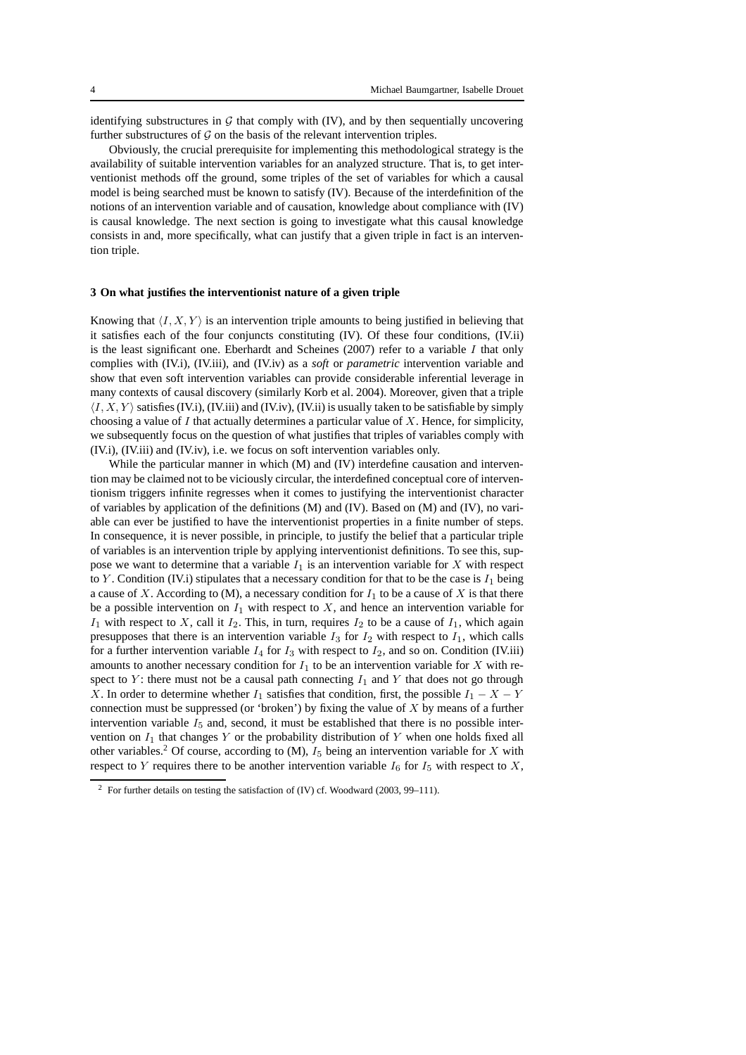identifying substructures in  $G$  that comply with (IV), and by then sequentially uncovering further substructures of  $G$  on the basis of the relevant intervention triples.

Obviously, the crucial prerequisite for implementing this methodological strategy is the availability of suitable intervention variables for an analyzed structure. That is, to get interventionist methods off the ground, some triples of the set of variables for which a causal model is being searched must be known to satisfy (IV). Because of the interdefinition of the notions of an intervention variable and of causation, knowledge about compliance with (IV) is causal knowledge. The next section is going to investigate what this causal knowledge consists in and, more specifically, what can justify that a given triple in fact is an intervention triple.

#### **3 On what justifies the interventionist nature of a given triple**

Knowing that  $\langle I, X, Y \rangle$  is an intervention triple amounts to being justified in believing that it satisfies each of the four conjuncts constituting (IV). Of these four conditions, (IV.ii) is the least significant one. Eberhardt and Scheines (2007) refer to a variable  $I$  that only complies with (IV.i), (IV.iii), and (IV.iv) as a *soft* or *parametric* intervention variable and show that even soft intervention variables can provide considerable inferential leverage in many contexts of causal discovery (similarly Korb et al. 2004). Moreover, given that a triple  $\langle I, X, Y \rangle$  satisfies (IV.i), (IV.iii) and (IV.iv), (IV.ii) is usually taken to be satisfiable by simply choosing a value of  $I$  that actually determines a particular value of  $X$ . Hence, for simplicity, we subsequently focus on the question of what justifies that triples of variables comply with (IV.i), (IV.iii) and (IV.iv), i.e. we focus on soft intervention variables only.

While the particular manner in which (M) and (IV) interdefine causation and intervention may be claimed not to be viciously circular, the interdefined conceptual core of interventionism triggers infinite regresses when it comes to justifying the interventionist character of variables by application of the definitions (M) and (IV). Based on (M) and (IV), no variable can ever be justified to have the interventionist properties in a finite number of steps. In consequence, it is never possible, in principle, to justify the belief that a particular triple of variables is an intervention triple by applying interventionist definitions. To see this, suppose we want to determine that a variable  $I_1$  is an intervention variable for X with respect to Y. Condition (IV.i) stipulates that a necessary condition for that to be the case is  $I_1$  being a cause of X. According to (M), a necessary condition for  $I_1$  to be a cause of X is that there be a possible intervention on  $I_1$  with respect to X, and hence an intervention variable for  $I_1$  with respect to X, call it  $I_2$ . This, in turn, requires  $I_2$  to be a cause of  $I_1$ , which again presupposes that there is an intervention variable  $I_3$  for  $I_2$  with respect to  $I_1$ , which calls for a further intervention variable  $I_4$  for  $I_3$  with respect to  $I_2$ , and so on. Condition (IV.iii) amounts to another necessary condition for  $I_1$  to be an intervention variable for X with respect to Y: there must not be a causal path connecting  $I_1$  and Y that does not go through X. In order to determine whether  $I_1$  satisfies that condition, first, the possible  $I_1 - X - Y$ connection must be suppressed (or 'broken') by fixing the value of  $X$  by means of a further intervention variable  $I_5$  and, second, it must be established that there is no possible intervention on  $I_1$  that changes Y or the probability distribution of Y when one holds fixed all other variables.<sup>2</sup> Of course, according to  $(M)$ ,  $I_5$  being an intervention variable for X with respect to Y requires there to be another intervention variable  $I_6$  for  $I_5$  with respect to X,

<sup>2</sup> For further details on testing the satisfaction of (IV) cf. Woodward (2003, 99–111).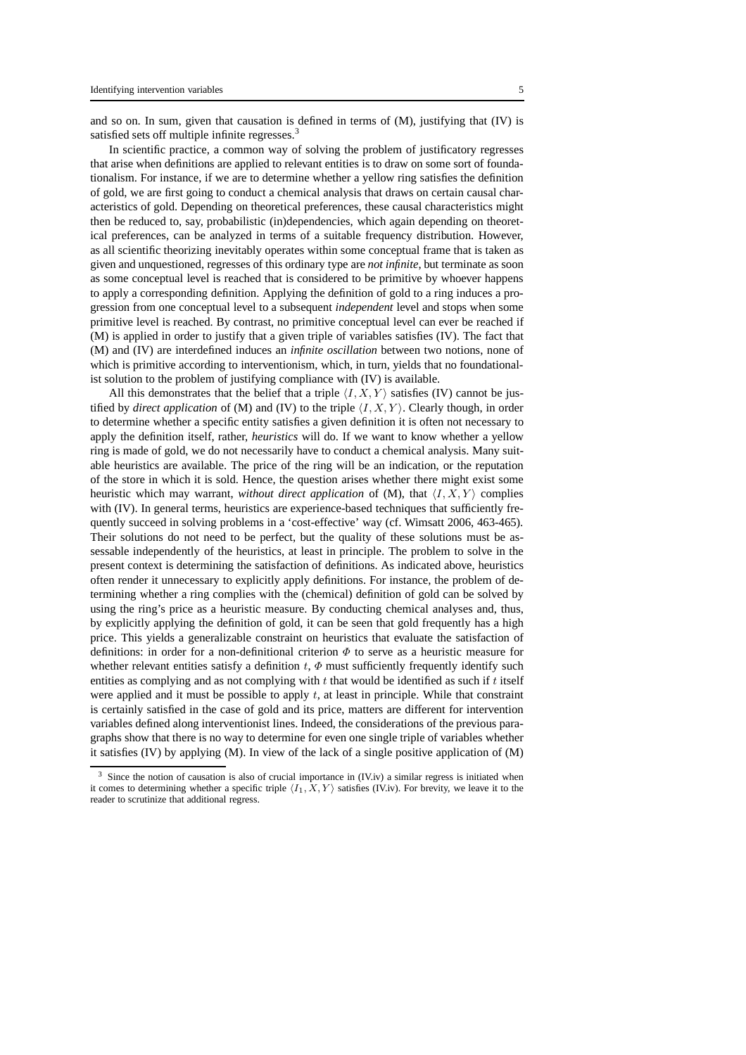and so on. In sum, given that causation is defined in terms of  $(M)$ , justifying that  $(IV)$  is satisfied sets off multiple infinite regresses.<sup>3</sup>

In scientific practice, a common way of solving the problem of justificatory regresses that arise when definitions are applied to relevant entities is to draw on some sort of foundationalism. For instance, if we are to determine whether a yellow ring satisfies the definition of gold, we are first going to conduct a chemical analysis that draws on certain causal characteristics of gold. Depending on theoretical preferences, these causal characteristics might then be reduced to, say, probabilistic (in)dependencies, which again depending on theoretical preferences, can be analyzed in terms of a suitable frequency distribution. However, as all scientific theorizing inevitably operates within some conceptual frame that is taken as given and unquestioned, regresses of this ordinary type are *not infinite*, but terminate as soon as some conceptual level is reached that is considered to be primitive by whoever happens to apply a corresponding definition. Applying the definition of gold to a ring induces a progression from one conceptual level to a subsequent *independent* level and stops when some primitive level is reached. By contrast, no primitive conceptual level can ever be reached if (M) is applied in order to justify that a given triple of variables satisfies (IV). The fact that (M) and (IV) are interdefined induces an *infinite oscillation* between two notions, none of which is primitive according to interventionism, which, in turn, yields that no foundationalist solution to the problem of justifying compliance with (IV) is available.

All this demonstrates that the belief that a triple  $\langle I, X, Y \rangle$  satisfies (IV) cannot be justified by *direct application* of (M) and (IV) to the triple  $\langle I, X, Y \rangle$ . Clearly though, in order to determine whether a specific entity satisfies a given definition it is often not necessary to apply the definition itself, rather, *heuristics* will do. If we want to know whether a yellow ring is made of gold, we do not necessarily have to conduct a chemical analysis. Many suitable heuristics are available. The price of the ring will be an indication, or the reputation of the store in which it is sold. Hence, the question arises whether there might exist some heuristic which may warrant, *without direct application* of (M), that  $\langle I, X, Y \rangle$  complies with (IV). In general terms, heuristics are experience-based techniques that sufficiently frequently succeed in solving problems in a 'cost-effective' way (cf. Wimsatt 2006, 463-465). Their solutions do not need to be perfect, but the quality of these solutions must be assessable independently of the heuristics, at least in principle. The problem to solve in the present context is determining the satisfaction of definitions. As indicated above, heuristics often render it unnecessary to explicitly apply definitions. For instance, the problem of determining whether a ring complies with the (chemical) definition of gold can be solved by using the ring's price as a heuristic measure. By conducting chemical analyses and, thus, by explicitly applying the definition of gold, it can be seen that gold frequently has a high price. This yields a generalizable constraint on heuristics that evaluate the satisfaction of definitions: in order for a non-definitional criterion  $\Phi$  to serve as a heuristic measure for whether relevant entities satisfy a definition  $t, \Phi$  must sufficiently frequently identify such entities as complying and as not complying with  $t$  that would be identified as such if  $t$  itself were applied and it must be possible to apply  $t$ , at least in principle. While that constraint is certainly satisfied in the case of gold and its price, matters are different for intervention variables defined along interventionist lines. Indeed, the considerations of the previous paragraphs show that there is no way to determine for even one single triple of variables whether it satisfies (IV) by applying (M). In view of the lack of a single positive application of  $(M)$ 

 $3$  Since the notion of causation is also of crucial importance in (IV.iv) a similar regress is initiated when it comes to determining whether a specific triple  $\langle I_1, X, Y \rangle$  satisfies (IV.iv). For brevity, we leave it to the reader to scrutinize that additional regress.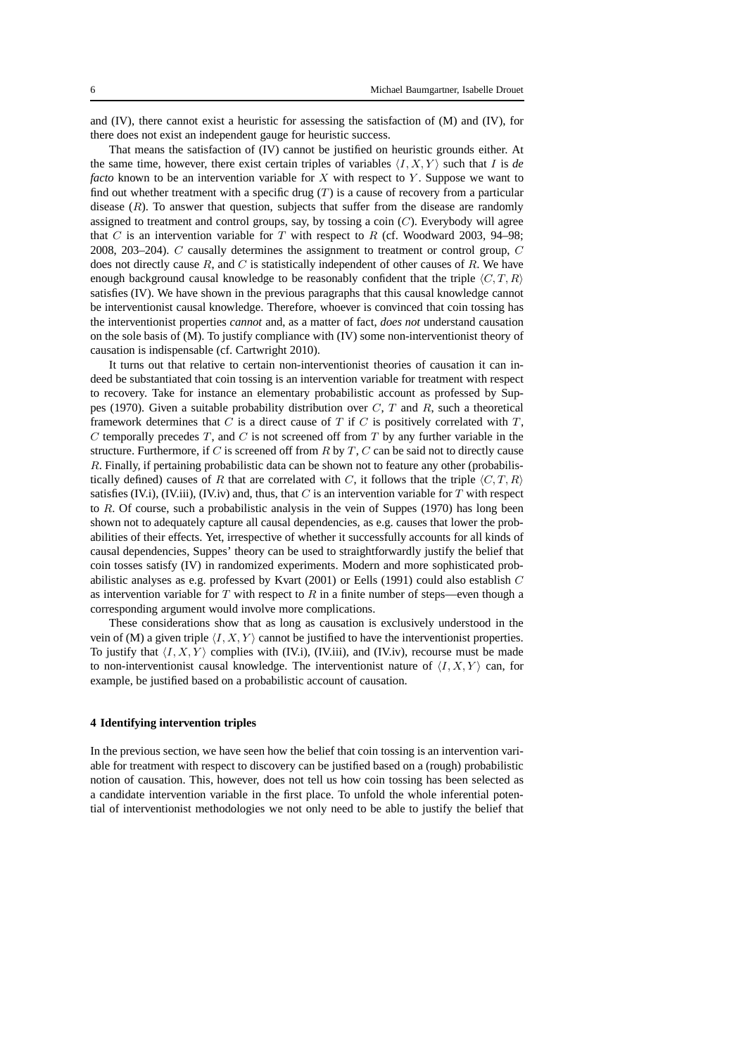and (IV), there cannot exist a heuristic for assessing the satisfaction of (M) and (IV), for there does not exist an independent gauge for heuristic success.

That means the satisfaction of (IV) cannot be justified on heuristic grounds either. At the same time, however, there exist certain triples of variables  $\langle I, X, Y \rangle$  such that I is *de facto* known to be an intervention variable for X with respect to Y. Suppose we want to find out whether treatment with a specific drug  $(T)$  is a cause of recovery from a particular disease  $(R)$ . To answer that question, subjects that suffer from the disease are randomly assigned to treatment and control groups, say, by tossing a coin  $(C)$ . Everybody will agree that C is an intervention variable for T with respect to R (cf. Woodward 2003, 94–98; 2008, 203–204). C causally determines the assignment to treatment or control group, C does not directly cause  $R$ , and  $C$  is statistically independent of other causes of  $R$ . We have enough background causal knowledge to be reasonably confident that the triple  $\langle C, T, R \rangle$ satisfies (IV). We have shown in the previous paragraphs that this causal knowledge cannot be interventionist causal knowledge. Therefore, whoever is convinced that coin tossing has the interventionist properties *cannot* and, as a matter of fact, *does not* understand causation on the sole basis of (M). To justify compliance with (IV) some non-interventionist theory of causation is indispensable (cf. Cartwright 2010).

It turns out that relative to certain non-interventionist theories of causation it can indeed be substantiated that coin tossing is an intervention variable for treatment with respect to recovery. Take for instance an elementary probabilistic account as professed by Suppes (1970). Given a suitable probability distribution over  $C, T$  and  $R$ , such a theoretical framework determines that C is a direct cause of T if C is positively correlated with  $T$ ,  $C$  temporally precedes  $T$ , and  $C$  is not screened off from  $T$  by any further variable in the structure. Furthermore, if  $C$  is screened off from  $R$  by  $T$ ,  $C$  can be said not to directly cause R. Finally, if pertaining probabilistic data can be shown not to feature any other (probabilistically defined) causes of R that are correlated with C, it follows that the triple  $\langle C, T, R \rangle$ satisfies (IV.i), (IV.iii), (IV.iv) and, thus, that C is an intervention variable for T with respect to  $R$ . Of course, such a probabilistic analysis in the vein of Suppes (1970) has long been shown not to adequately capture all causal dependencies, as e.g. causes that lower the probabilities of their effects. Yet, irrespective of whether it successfully accounts for all kinds of causal dependencies, Suppes' theory can be used to straightforwardly justify the belief that coin tosses satisfy (IV) in randomized experiments. Modern and more sophisticated probabilistic analyses as e.g. professed by Kvart (2001) or Eells (1991) could also establish C as intervention variable for  $T$  with respect to  $R$  in a finite number of steps—even though a corresponding argument would involve more complications.

These considerations show that as long as causation is exclusively understood in the vein of (M) a given triple  $\langle I, X, Y \rangle$  cannot be justified to have the interventionist properties. To justify that  $\langle I, X, Y \rangle$  complies with (IV.i), (IV.iii), and (IV.iv), recourse must be made to non-interventionist causal knowledge. The interventionist nature of  $\langle I, X, Y \rangle$  can, for example, be justified based on a probabilistic account of causation.

### **4 Identifying intervention triples**

In the previous section, we have seen how the belief that coin tossing is an intervention variable for treatment with respect to discovery can be justified based on a (rough) probabilistic notion of causation. This, however, does not tell us how coin tossing has been selected as a candidate intervention variable in the first place. To unfold the whole inferential potential of interventionist methodologies we not only need to be able to justify the belief that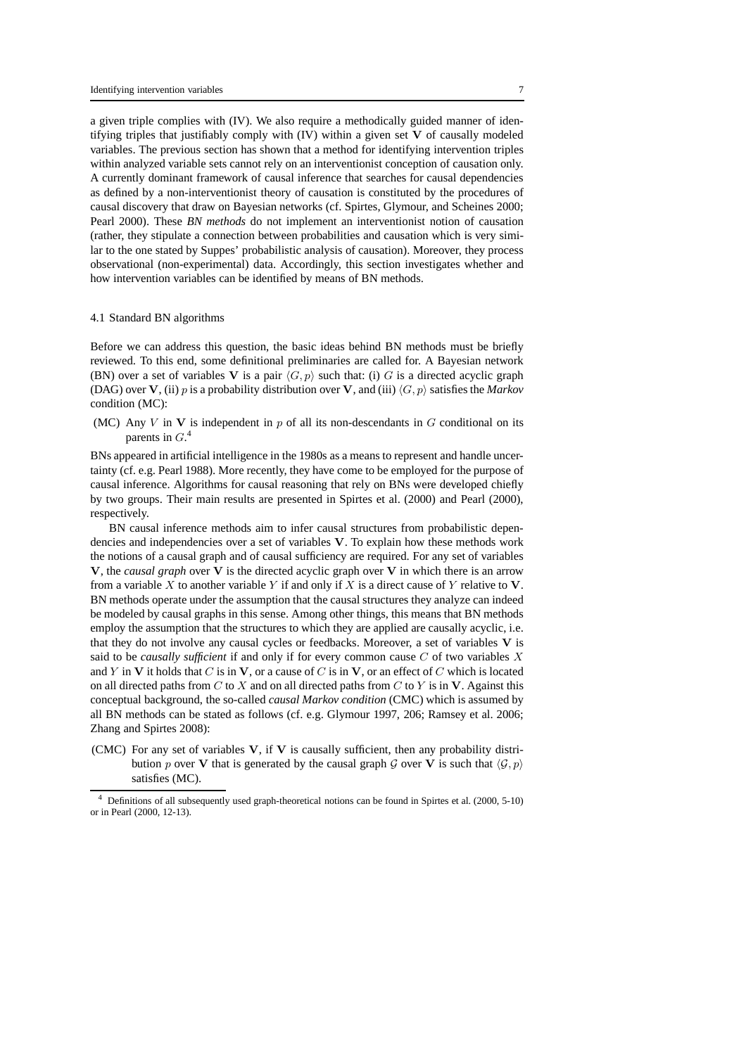a given triple complies with (IV). We also require a methodically guided manner of identifying triples that justifiably comply with (IV) within a given set V of causally modeled variables. The previous section has shown that a method for identifying intervention triples within analyzed variable sets cannot rely on an interventionist conception of causation only. A currently dominant framework of causal inference that searches for causal dependencies as defined by a non-interventionist theory of causation is constituted by the procedures of causal discovery that draw on Bayesian networks (cf. Spirtes, Glymour, and Scheines 2000; Pearl 2000). These *BN methods* do not implement an interventionist notion of causation (rather, they stipulate a connection between probabilities and causation which is very similar to the one stated by Suppes' probabilistic analysis of causation). Moreover, they process observational (non-experimental) data. Accordingly, this section investigates whether and how intervention variables can be identified by means of BN methods.

### 4.1 Standard BN algorithms

Before we can address this question, the basic ideas behind BN methods must be briefly reviewed. To this end, some definitional preliminaries are called for. A Bayesian network (BN) over a set of variables V is a pair  $\langle G, p \rangle$  such that: (i) G is a directed acyclic graph (DAG) over V, (ii) p is a probability distribution over V, and (iii)  $\langle G, p \rangle$  satisfies the *Markov* condition (MC):

(MC) Any V in V is independent in  $p$  of all its non-descendants in G conditional on its parents in  $G<sup>4</sup>$ 

BNs appeared in artificial intelligence in the 1980s as a means to represent and handle uncertainty (cf. e.g. Pearl 1988). More recently, they have come to be employed for the purpose of causal inference. Algorithms for causal reasoning that rely on BNs were developed chiefly by two groups. Their main results are presented in Spirtes et al. (2000) and Pearl (2000), respectively.

BN causal inference methods aim to infer causal structures from probabilistic dependencies and independencies over a set of variables V. To explain how these methods work the notions of a causal graph and of causal sufficiency are required. For any set of variables V, the *causal graph* over V is the directed acyclic graph over V in which there is an arrow from a variable X to another variable Y if and only if X is a direct cause of Y relative to  $V$ . BN methods operate under the assumption that the causal structures they analyze can indeed be modeled by causal graphs in this sense. Among other things, this means that BN methods employ the assumption that the structures to which they are applied are causally acyclic, i.e. that they do not involve any causal cycles or feedbacks. Moreover, a set of variables V is said to be *causally sufficient* if and only if for every common cause C of two variables X and Y in V it holds that C is in V, or a cause of C is in V, or an effect of C which is located on all directed paths from C to X and on all directed paths from C to Y is in V. Against this conceptual background, the so-called *causal Markov condition* (CMC) which is assumed by all BN methods can be stated as follows (cf. e.g. Glymour 1997, 206; Ramsey et al. 2006; Zhang and Spirtes 2008):

(CMC) For any set of variables V, if V is causally sufficient, then any probability distribution p over V that is generated by the causal graph G over V is such that  $\langle G, p \rangle$ satisfies (MC).

<sup>4</sup> Definitions of all subsequently used graph-theoretical notions can be found in Spirtes et al. (2000, 5-10) or in Pearl (2000, 12-13).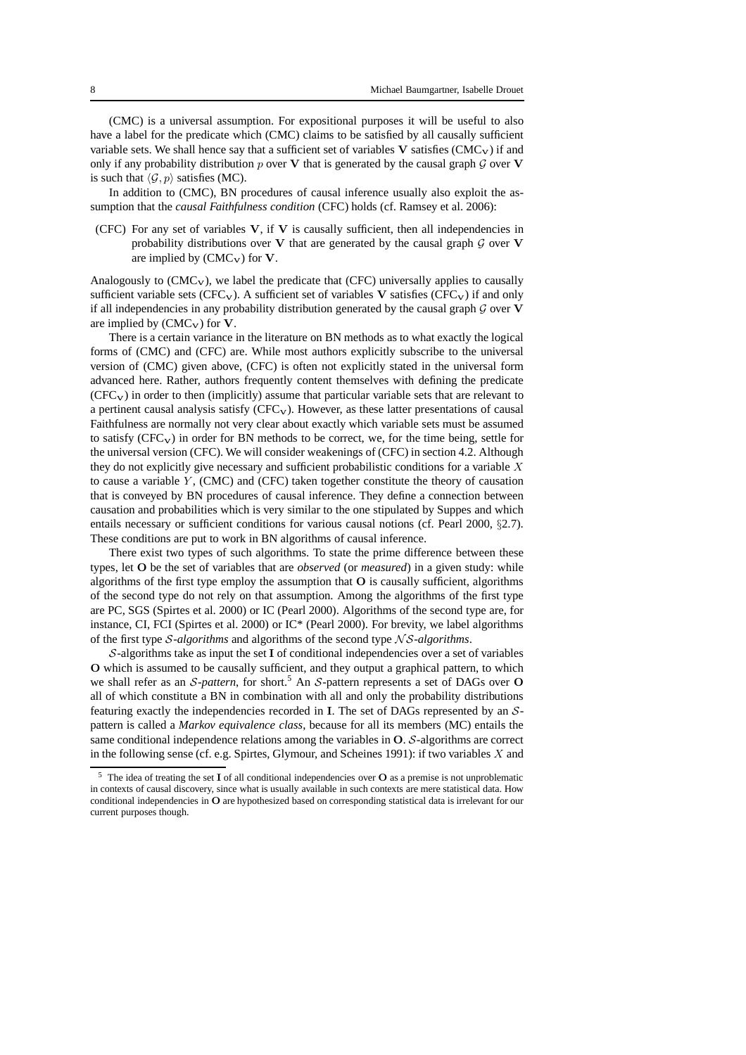(CMC) is a universal assumption. For expositional purposes it will be useful to also have a label for the predicate which (CMC) claims to be satisfied by all causally sufficient variable sets. We shall hence say that a sufficient set of variables  $V$  satisfies ( $CMC<sub>V</sub>$ ) if and only if any probability distribution p over V that is generated by the causal graph  $\mathcal G$  over V is such that  $\langle \mathcal{G}, p \rangle$  satisfies (MC).

In addition to (CMC), BN procedures of causal inference usually also exploit the assumption that the *causal Faithfulness condition* (CFC) holds (cf. Ramsey et al. 2006):

(CFC) For any set of variables  $V$ , if  $V$  is causally sufficient, then all independencies in probability distributions over V that are generated by the causal graph  $\mathcal G$  over V are implied by  $(CMC_V)$  for V.

Analogously to  $(CMC_V)$ , we label the predicate that  $(CFC)$  universally applies to causally sufficient variable sets (CFC<sub>V</sub>). A sufficient set of variables V satisfies (CFC<sub>V</sub>) if and only if all independencies in any probability distribution generated by the causal graph  $G$  over  $V$ are implied by  $(CMC_V)$  for V.

There is a certain variance in the literature on BN methods as to what exactly the logical forms of (CMC) and (CFC) are. While most authors explicitly subscribe to the universal version of (CMC) given above, (CFC) is often not explicitly stated in the universal form advanced here. Rather, authors frequently content themselves with defining the predicate  $(CFC_V)$  in order to then (implicitly) assume that particular variable sets that are relevant to a pertinent causal analysis satisfy (CFCV). However, as these latter presentations of causal Faithfulness are normally not very clear about exactly which variable sets must be assumed to satisfy  $(CFC_V)$  in order for BN methods to be correct, we, for the time being, settle for the universal version (CFC). We will consider weakenings of (CFC) in section 4.2. Although they do not explicitly give necessary and sufficient probabilistic conditions for a variable  $X$ to cause a variable  $Y$ , (CMC) and (CFC) taken together constitute the theory of causation that is conveyed by BN procedures of causal inference. They define a connection between causation and probabilities which is very similar to the one stipulated by Suppes and which entails necessary or sufficient conditions for various causal notions (cf. Pearl 2000, §2.7). These conditions are put to work in BN algorithms of causal inference.

There exist two types of such algorithms. To state the prime difference between these types, let O be the set of variables that are *observed* (or *measured*) in a given study: while algorithms of the first type employ the assumption that O is causally sufficient, algorithms of the second type do not rely on that assumption. Among the algorithms of the first type are PC, SGS (Spirtes et al. 2000) or IC (Pearl 2000). Algorithms of the second type are, for instance, CI, FCI (Spirtes et al. 2000) or IC\* (Pearl 2000). For brevity, we label algorithms of the first type *S*-*algorithms* and algorithms of the second type *NS*-*algorithms*.

S-algorithms take as input the set I of conditional independencies over a set of variables O which is assumed to be causally sufficient, and they output a graphical pattern, to which we shall refer as an *S-pattern*, for short.<sup>5</sup> An *S*-pattern represents a set of DAGs over O all of which constitute a BN in combination with all and only the probability distributions featuring exactly the independencies recorded in I. The set of DAGs represented by an Spattern is called a *Markov equivalence class*, because for all its members (MC) entails the same conditional independence relations among the variables in O. S-algorithms are correct in the following sense (cf. e.g. Spirtes, Glymour, and Scheines 1991): if two variables  $X$  and

 $5$  The idea of treating the set I of all conditional independencies over O as a premise is not unproblematic in contexts of causal discovery, since what is usually available in such contexts are mere statistical data. How conditional independencies in O are hypothesized based on corresponding statistical data is irrelevant for our current purposes though.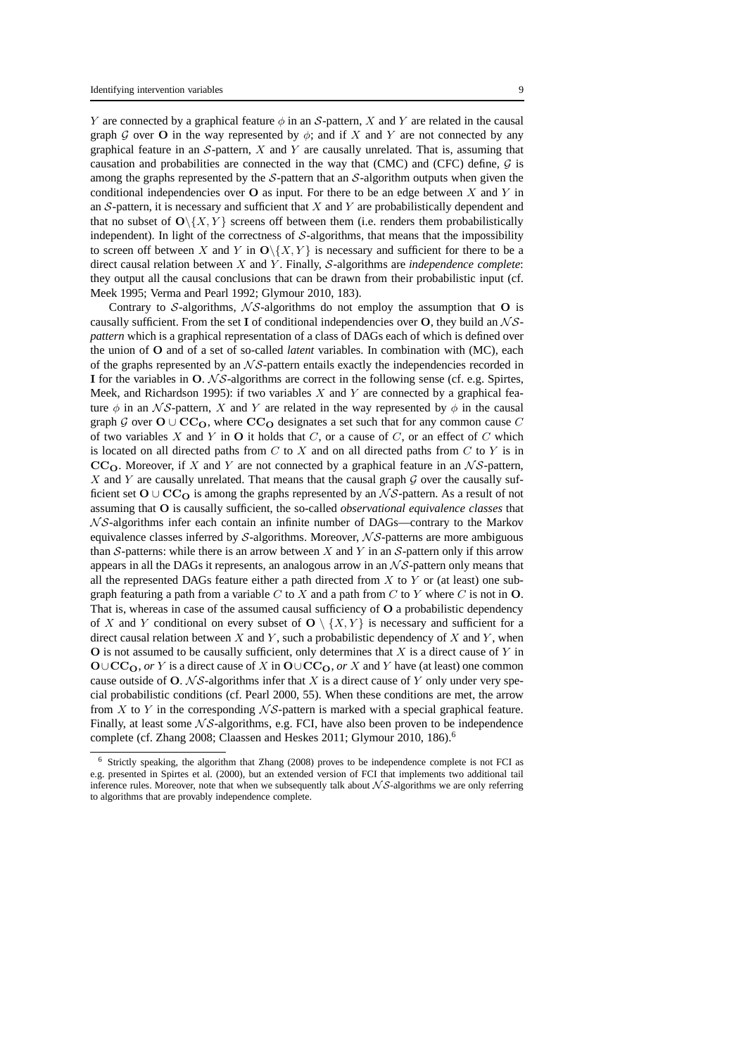Y are connected by a graphical feature  $\phi$  in an S-pattern, X and Y are related in the causal graph G over O in the way represented by  $\phi$ ; and if X and Y are not connected by any graphical feature in an  $S$ -pattern,  $X$  and  $Y$  are causally unrelated. That is, assuming that causation and probabilities are connected in the way that (CMC) and (CFC) define,  $G$  is among the graphs represented by the  $S$ -pattern that an  $S$ -algorithm outputs when given the conditional independencies over  $O$  as input. For there to be an edge between X and Y in an  $S$ -pattern, it is necessary and sufficient that  $X$  and  $Y$  are probabilistically dependent and that no subset of  $O(\{X, Y\})$  screens off between them (i.e. renders them probabilistically independent). In light of the correctness of  $S$ -algorithms, that means that the impossibility to screen off between X and Y in  $O\{X, Y\}$  is necessary and sufficient for there to be a direct causal relation between X and Y . Finally, S-algorithms are *independence complete*: they output all the causal conclusions that can be drawn from their probabilistic input (cf. Meek 1995; Verma and Pearl 1992; Glymour 2010, 183).

Contrary to  $S$ -algorithms,  $\mathcal{N}S$ -algorithms do not employ the assumption that O is causally sufficient. From the set I of conditional independencies over  $O$ , they build an  $\mathcal{NS}$ *pattern* which is a graphical representation of a class of DAGs each of which is defined over the union of O and of a set of so-called *latent* variables. In combination with (MC), each of the graphs represented by an  $\mathcal{N} \mathcal{S}$ -pattern entails exactly the independencies recorded in I for the variables in  $O. N\mathcal{S}-$ algorithms are correct in the following sense (cf. e.g. Spirtes, Meek, and Richardson 1995): if two variables  $X$  and  $Y$  are connected by a graphical feature  $\phi$  in an NS-pattern, X and Y are related in the way represented by  $\phi$  in the causal graph G over  $O \cup CC_O$ , where  $CC_O$  designates a set such that for any common cause C of two variables  $X$  and  $Y$  in  $O$  it holds that  $C$ , or a cause of  $C$ , or an effect of  $C$  which is located on all directed paths from  $C$  to  $X$  and on all directed paths from  $C$  to  $Y$  is in  $CC<sub>O</sub>$ . Moreover, if X and Y are not connected by a graphical feature in an  $\mathcal{NS}$ -pattern,  $X$  and Y are causally unrelated. That means that the causal graph  $G$  over the causally sufficient set  $O \cup CC<sub>O</sub>$  is among the graphs represented by an NS-pattern. As a result of not assuming that O is causally sufficient, the so-called *observational equivalence classes* that  $N\mathcal{S}$ -algorithms infer each contain an infinite number of DAGs—contrary to the Markov equivalence classes inferred by  $S$ -algorithms. Moreover,  $\mathcal{NS}\text{-}$  patterns are more ambiguous than S-patterns: while there is an arrow between X and Y in an S-pattern only if this arrow appears in all the DAGs it represents, an analogous arrow in an  $\mathcal{NS}$ -pattern only means that all the represented DAGs feature either a path directed from  $X$  to  $Y$  or (at least) one subgraph featuring a path from a variable C to X and a path from C to Y where C is not in  $O$ . That is, whereas in case of the assumed causal sufficiency of O a probabilistic dependency of X and Y conditional on every subset of  $O \setminus \{X, Y\}$  is necessary and sufficient for a direct causal relation between  $X$  and  $Y$ , such a probabilistic dependency of  $X$  and  $Y$ , when  $\overline{O}$  is not assumed to be causally sufficient, only determines that X is a direct cause of Y in  $\mathbf{O}\cup\mathbf{CC}_{\mathbf{O}}$ , *or* Y is a direct cause of X in  $\mathbf{O}\cup\mathbf{CC}_{\mathbf{O}}$ , *or* X and Y have (at least) one common cause outside of O.  $\mathcal{NS}\text{-}algorithms$  infer that X is a direct cause of Y only under very special probabilistic conditions (cf. Pearl 2000, 55). When these conditions are met, the arrow from X to Y in the corresponding  $\mathcal{N} \mathcal{S}$ -pattern is marked with a special graphical feature. Finally, at least some  $\mathcal{N}S$ -algorithms, e.g. FCI, have also been proven to be independence complete (cf. Zhang 2008; Claassen and Heskes 2011; Glymour 2010, 186).<sup>6</sup>

<sup>6</sup> Strictly speaking, the algorithm that Zhang (2008) proves to be independence complete is not FCI as e.g. presented in Spirtes et al. (2000), but an extended version of FCI that implements two additional tail inference rules. Moreover, note that when we subsequently talk about  $\mathcal{NS}\text{-}$  algorithms we are only referring to algorithms that are provably independence complete.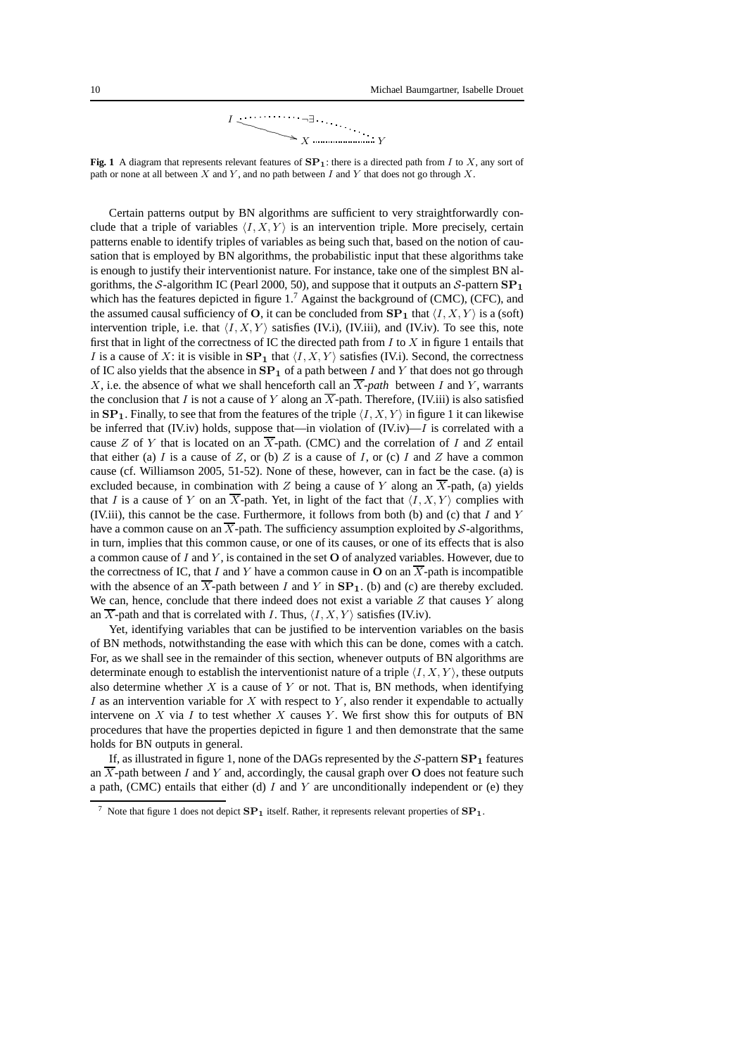$$
\begin{array}{c}\nI \longrightarrow \\ \hline \\
\searrow X \longrightarrow \\ \hline\n\end{array}
$$

**Fig. 1** A diagram that represents relevant features of  $\mathbf{SP}_1$ : there is a directed path from I to X, any sort of path or none at all between  $X$  and  $Y$ , and no path between  $I$  and  $Y$  that does not go through  $X$ .

Certain patterns output by BN algorithms are sufficient to very straightforwardly conclude that a triple of variables  $\langle I, X, Y \rangle$  is an intervention triple. More precisely, certain patterns enable to identify triples of variables as being such that, based on the notion of causation that is employed by BN algorithms, the probabilistic input that these algorithms take is enough to justify their interventionist nature. For instance, take one of the simplest BN algorithms, the S-algorithm IC (Pearl 2000, 50), and suppose that it outputs an S-pattern  $SP<sub>1</sub>$ which has the features depicted in figure  $1<sup>7</sup>$  Against the background of (CMC), (CFC), and the assumed causal sufficiency of O, it can be concluded from  $SP_1$  that  $\langle I, X, Y \rangle$  is a (soft) intervention triple, i.e. that  $\langle I, X, Y \rangle$  satisfies (IV.i), (IV.iii), and (IV.iv). To see this, note first that in light of the correctness of IC the directed path from  $I$  to  $X$  in figure 1 entails that I is a cause of X: it is visible in  $SP_1$  that  $\langle I, X, Y \rangle$  satisfies (IV.i). Second, the correctness of IC also yields that the absence in  $SP_1$  of a path between I and Y that does not go through X, i.e. the absence of what we shall henceforth call an  $\overline{X}$ -path between I and Y, warrants the conclusion that I is not a cause of Y along an  $\overline{X}$ -path. Therefore, (IV.iii) is also satisfied in  $\mathbf{SP}_1$ . Finally, to see that from the features of the triple  $\langle I, X, Y \rangle$  in figure 1 it can likewise be inferred that (IV.iv) holds, suppose that—in violation of  $(IV(iv)$ —I is correlated with a cause Z of Y that is located on an  $\overline{X}$ -path. (CMC) and the correlation of I and Z entail that either (a) I is a cause of Z, or (b) Z is a cause of I, or (c) I and Z have a common cause (cf. Williamson 2005, 51-52). None of these, however, can in fact be the case. (a) is excluded because, in combination with Z being a cause of Y along an  $\overline{X}$ -path, (a) yields that I is a cause of Y on an  $\overline{X}$ -path. Yet, in light of the fact that  $\langle I, X, Y \rangle$  complies with (IV.iii), this cannot be the case. Furthermore, it follows from both (b) and (c) that  $I$  and  $Y$ have a common cause on an  $\overline{X}$ -path. The sufficiency assumption exploited by S-algorithms, in turn, implies that this common cause, or one of its causes, or one of its effects that is also a common cause of  $I$  and  $Y$ , is contained in the set  $O$  of analyzed variables. However, due to the correctness of IC, that I and Y have a common cause in O on an  $\overline{X}$ -path is incompatible with the absence of an  $\overline{X}$ -path between I and Y in  $\mathbf{SP}_1$ . (b) and (c) are thereby excluded. We can, hence, conclude that there indeed does not exist a variable  $Z$  that causes  $Y$  along an  $\overline{X}$ -path and that is correlated with I. Thus,  $\langle I, X, Y \rangle$  satisfies (IV.iv).

Yet, identifying variables that can be justified to be intervention variables on the basis of BN methods, notwithstanding the ease with which this can be done, comes with a catch. For, as we shall see in the remainder of this section, whenever outputs of BN algorithms are determinate enough to establish the interventionist nature of a triple  $\langle I, X, Y \rangle$ , these outputs also determine whether  $X$  is a cause of  $Y$  or not. That is, BN methods, when identifying I as an intervention variable for  $X$  with respect to  $Y$ , also render it expendable to actually intervene on  $X$  via  $I$  to test whether  $X$  causes  $Y$ . We first show this for outputs of BN procedures that have the properties depicted in figure 1 and then demonstrate that the same holds for BN outputs in general.

If, as illustrated in figure 1, none of the DAGs represented by the  $S$ -pattern  $SP<sub>1</sub>$  features an  $\overline{X}$ -path between I and Y and, accordingly, the causal graph over O does not feature such a path, (CMC) entails that either (d)  $I$  and  $Y$  are unconditionally independent or (e) they

<sup>&</sup>lt;sup>7</sup> Note that figure 1 does not depict  $SP_1$  itself. Rather, it represents relevant properties of  $SP_1$ .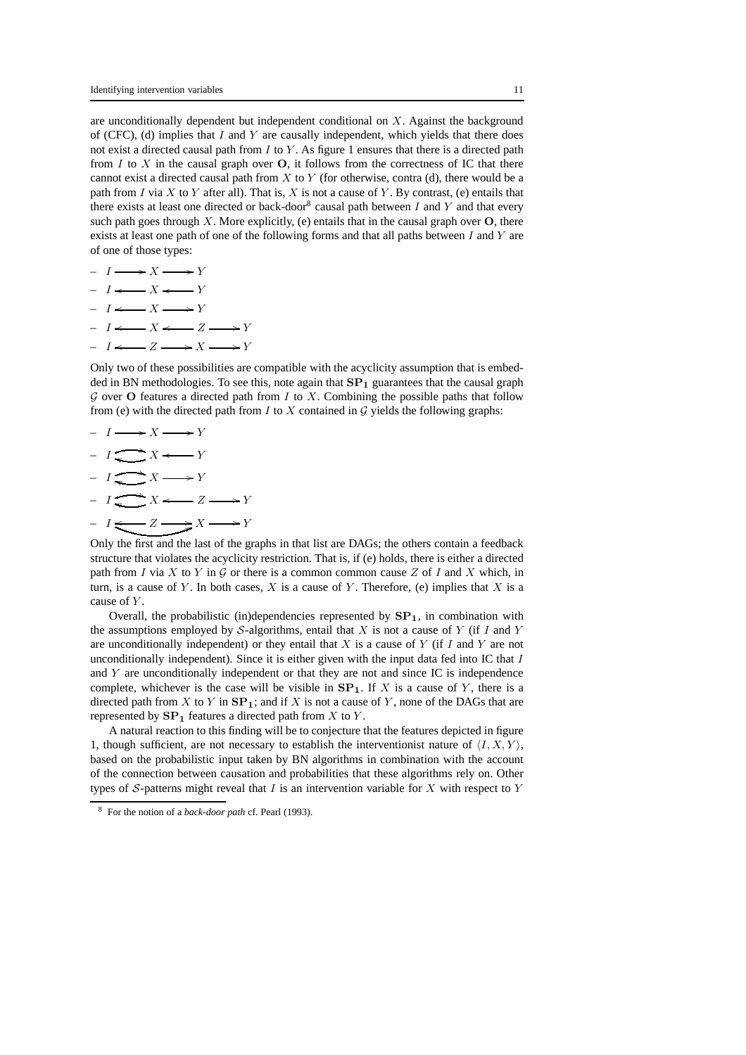are unconditionally dependent but independent conditional on X. Against the background of (CFC), (d) implies that  $I$  and  $Y$  are causally independent, which yields that there does not exist a directed causal path from  $I$  to  $Y$ . As figure 1 ensures that there is a directed path from  $I$  to  $X$  in the causal graph over  $O$ , it follows from the correctness of IC that there cannot exist a directed causal path from  $X$  to  $Y$  (for otherwise, contra (d), there would be a path from I via X to Y after all). That is, X is not a cause of Y. By contrast, (e) entails that there exists at least one directed or back-door<sup>8</sup> causal path between  $I$  and  $Y$  and that every such path goes through X. More explicitly, (e) entails that in the causal graph over  $O$ , there exists at least one path of one of the following forms and that all paths between  $I$  and  $Y$  are of one of those types:

- $-I \longrightarrow X \longrightarrow Y$  $-I \leftarrow X \leftarrow Y$
- $-I \leftarrow X \longrightarrow Y$
- $-I \leftarrow X \leftarrow Z \rightarrow Y$
- $-I \leftarrow Z \longrightarrow X \longrightarrow Y$

Only two of these possibilities are compatible with the acyclicity assumption that is embedded in BN methodologies. To see this, note again that  $SP<sub>1</sub>$  guarantees that the causal graph  $G$  over O features a directed path from I to X. Combining the possible paths that follow from (e) with the directed path from  $I$  to  $X$  contained in  $G$  yields the following graphs:

 $-I \longrightarrow X \longrightarrow Y$  $-I \xrightarrow{I X \xrightarrow{I} Y} Y$  $-I \xrightarrow{I} X \longrightarrow Y$  $-I \xrightarrow{I X \xrightarrow{I} X \xrightarrow{I} Y}$  $-I \Longleftarrow Z \longrightarrow X \longrightarrow Y$ 

Only the first and the last of the graphs in that list are DAGs; the others contain a feedback structure that violates the acyclicity restriction. That is, if (e) holds, there is either a directed path from I via X to Y in G or there is a common common cause Z of I and X which, in turn, is a cause of Y. In both cases, X is a cause of Y. Therefore, (e) implies that X is a cause of Y.

Overall, the probabilistic (in)dependencies represented by  $SP<sub>1</sub>$ , in combination with the assumptions employed by S-algorithms, entail that X is not a cause of Y (if I and Y are unconditionally independent) or they entail that  $X$  is a cause of  $Y$  (if  $I$  and  $Y$  are not unconditionally independent). Since it is either given with the input data fed into IC that  $I$ and Y are unconditionally independent or that they are not and since IC is independence complete, whichever is the case will be visible in  $SP<sub>1</sub>$ . If X is a cause of Y, there is a directed path from X to Y in  $SP_1$ ; and if X is not a cause of Y, none of the DAGs that are represented by  $\mathbf{SP}_1$  features a directed path from X to Y.

A natural reaction to this finding will be to conjecture that the features depicted in figure 1, though sufficient, are not necessary to establish the interventionist nature of  $\langle I, X, Y \rangle$ , based on the probabilistic input taken by BN algorithms in combination with the account of the connection between causation and probabilities that these algorithms rely on. Other types of  $S$ -patterns might reveal that  $I$  is an intervention variable for  $X$  with respect to  $Y$ 

<sup>8</sup> For the notion of a *back-door path* cf. Pearl (1993).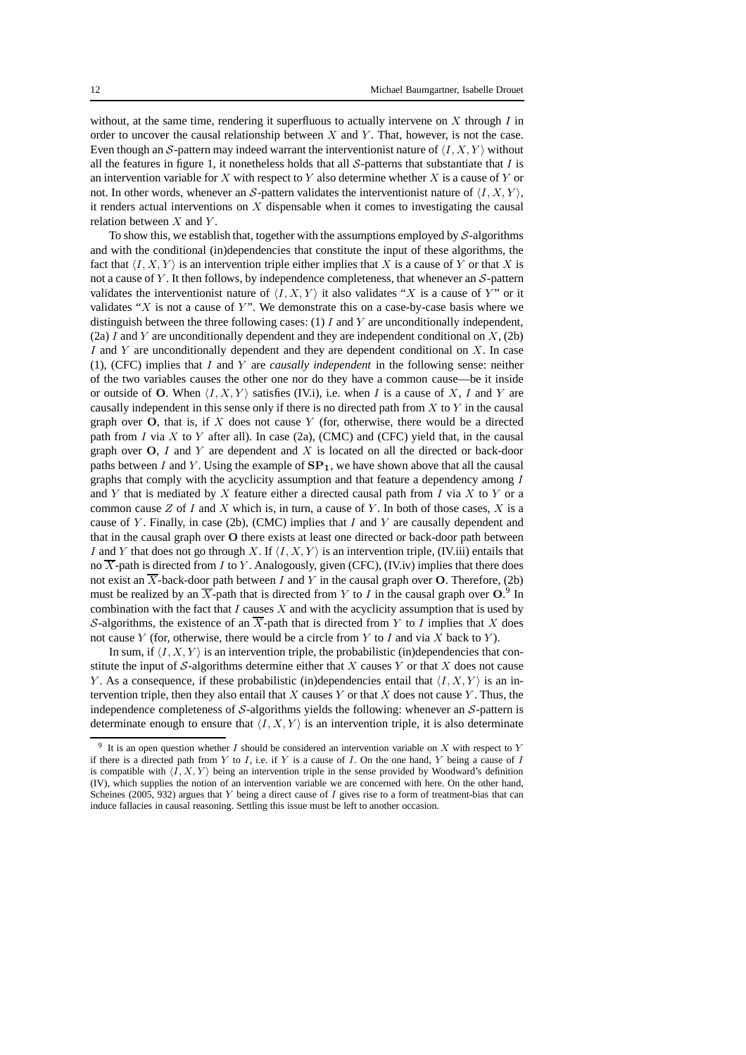without, at the same time, rendering it superfluous to actually intervene on  $X$  through  $I$  in order to uncover the causal relationship between  $X$  and  $Y$ . That, however, is not the case. Even though an S-pattern may indeed warrant the interventionist nature of  $\langle I, X, Y \rangle$  without all the features in figure 1, it nonetheless holds that all  $S$ -patterns that substantiate that  $I$  is an intervention variable for  $X$  with respect to  $Y$  also determine whether  $X$  is a cause of  $Y$  or not. In other words, whenever an S-pattern validates the interventionist nature of  $\langle I, X, Y \rangle$ , it renders actual interventions on  $X$  dispensable when it comes to investigating the causal relation between  $X$  and  $Y$ .

To show this, we establish that, together with the assumptions employed by  $S$ -algorithms and with the conditional (in)dependencies that constitute the input of these algorithms, the fact that  $\langle I, X, Y \rangle$  is an intervention triple either implies that X is a cause of Y or that X is not a cause of Y. It then follows, by independence completeness, that whenever an  $S$ -pattern validates the interventionist nature of  $\langle I, X, Y \rangle$  it also validates "X is a cause of Y" or it validates " $X$  is not a cause of  $Y$ ". We demonstrate this on a case-by-case basis where we distinguish between the three following cases:  $(1)$  I and Y are unconditionally independent, (2a) I and Y are unconditionally dependent and they are independent conditional on  $X$ , (2b) I and Y are unconditionally dependent and they are dependent conditional on  $X$ . In case (1), (CFC) implies that I and Y are *causally independent* in the following sense: neither of the two variables causes the other one nor do they have a common cause—be it inside or outside of O. When  $\langle I, X, Y \rangle$  satisfies (IV.i), i.e. when I is a cause of X, I and Y are causally independent in this sense only if there is no directed path from  $X$  to  $Y$  in the causal graph over  $O$ , that is, if  $X$  does not cause  $Y$  (for, otherwise, there would be a directed path from  $I$  via  $X$  to  $Y$  after all). In case (2a), (CMC) and (CFC) yield that, in the causal graph over  $O$ , I and Y are dependent and X is located on all the directed or back-door paths between I and Y. Using the example of  $\mathbf{SP}_1$ , we have shown above that all the causal graphs that comply with the acyclicity assumption and that feature a dependency among I and Y that is mediated by X feature either a directed causal path from  $I$  via  $X$  to  $Y$  or a common cause  $Z$  of I and X which is, in turn, a cause of Y. In both of those cases,  $X$  is a cause of Y. Finally, in case (2b), (CMC) implies that I and Y are causally dependent and that in the causal graph over O there exists at least one directed or back-door path between I and Y that does not go through X. If  $\langle I, X, Y \rangle$  is an intervention triple, (IV.iii) entails that no  $\overline{X}$ -path is directed from I to Y. Analogously, given (CFC), (IV.iv) implies that there does not exist an  $\overline{X}$ -back-door path between I and Y in the causal graph over O. Therefore, (2b) must be realized by an  $\overline{X}$ -path that is directed from Y to I in the causal graph over O.<sup>9</sup> In combination with the fact that  $I$  causes  $X$  and with the acyclicity assumption that is used by S-algorithms, the existence of an  $\overline{X}$ -path that is directed from Y to I implies that X does not cause  $Y$  (for, otherwise, there would be a circle from  $Y$  to  $I$  and via  $X$  back to  $Y$ ).

In sum, if  $\langle I, X, Y \rangle$  is an intervention triple, the probabilistic (in)dependencies that constitute the input of  $S$ -algorithms determine either that  $X$  causes  $Y$  or that  $X$  does not cause Y. As a consequence, if these probabilistic (in)dependencies entail that  $\langle I, X, Y \rangle$  is an intervention triple, then they also entail that X causes Y or that X does not cause Y. Thus, the independence completeness of  $S$ -algorithms yields the following: whenever an  $S$ -pattern is determinate enough to ensure that  $\langle I, X, Y \rangle$  is an intervention triple, it is also determinate

<sup>&</sup>lt;sup>9</sup> It is an open question whether I should be considered an intervention variable on X with respect to Y if there is a directed path from Y to I, i.e. if Y is a cause of I. On the one hand, Y being a cause of I is compatible with  $\langle I, X, Y \rangle$  being an intervention triple in the sense provided by Woodward's definition (IV), which supplies the notion of an intervention variable we are concerned with here. On the other hand, Scheines (2005, 932) argues that  $Y$  being a direct cause of  $I$  gives rise to a form of treatment-bias that can induce fallacies in causal reasoning. Settling this issue must be left to another occasion.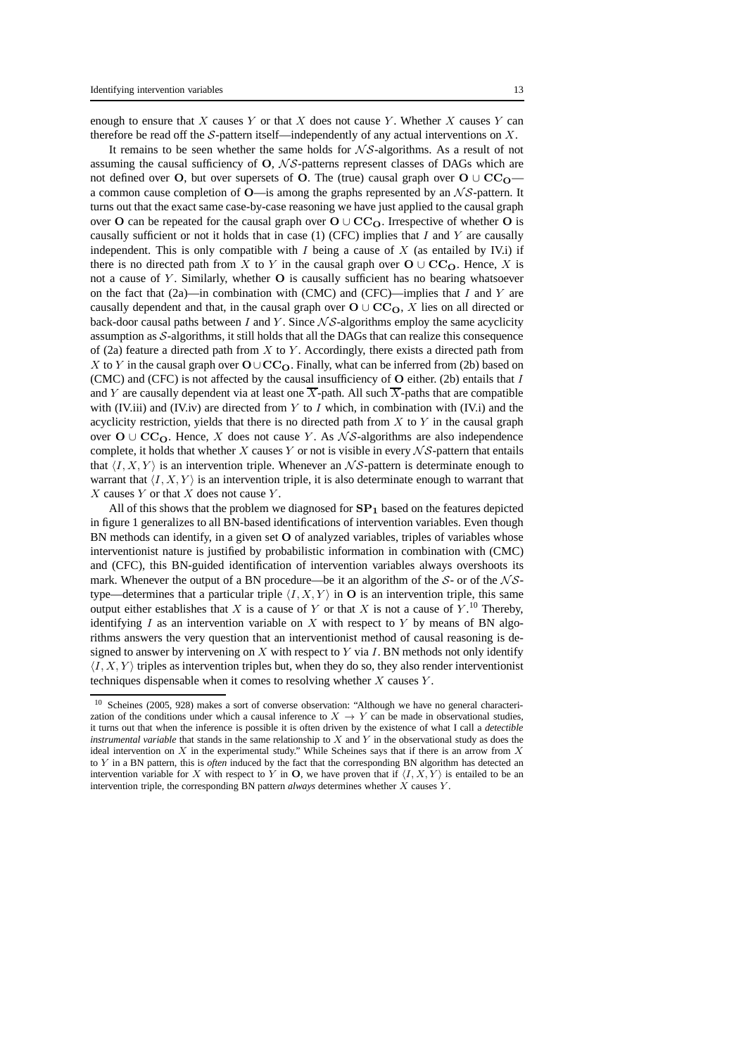enough to ensure that  $X$  causes  $Y$  or that  $X$  does not cause  $Y$ . Whether  $X$  causes  $Y$  can therefore be read off the  $S$ -pattern itself—independently of any actual interventions on  $X$ .

It remains to be seen whether the same holds for  $\mathcal{NS}$ -algorithms. As a result of not assuming the causal sufficiency of  $O$ ,  $\mathcal{NS}\text{-}$  patterns represent classes of DAGs which are not defined over O, but over supersets of O. The (true) causal graph over  $O \cup CC_O$  a common cause completion of  $O$ —is among the graphs represented by an  $\mathcal{NS}$ -pattern. It turns out that the exact same case-by-case reasoning we have just applied to the causal graph over O can be repeated for the causal graph over  $O \cup CC_O$ . Irrespective of whether O is causally sufficient or not it holds that in case  $(1)$  (CFC) implies that I and Y are causally independent. This is only compatible with  $I$  being a cause of  $X$  (as entailed by IV.i) if there is no directed path from X to Y in the causal graph over  $O \cup CC_0$ . Hence, X is not a cause of  $Y$ . Similarly, whether  $O$  is causally sufficient has no bearing whatsoever on the fact that  $(2a)$ —in combination with (CMC) and (CFC)—implies that I and Y are causally dependent and that, in the causal graph over  $O \cup CC_0$ , X lies on all directed or back-door causal paths between  $I$  and  $Y$ . Since  $\mathcal{NS}\text{-}$  algorithms employ the same acyclicity assumption as  $S$ -algorithms, it still holds that all the DAGs that can realize this consequence of (2a) feature a directed path from  $X$  to  $Y$ . Accordingly, there exists a directed path from X to Y in the causal graph over  $O \cup CC_O$ . Finally, what can be inferred from (2b) based on (CMC) and (CFC) is not affected by the causal insufficiency of  $O$  either. (2b) entails that I and Y are causally dependent via at least one  $\overline{X}$ -path. All such  $\overline{X}$ -paths that are compatible with (IV.iii) and (IV.iv) are directed from  $Y$  to  $I$  which, in combination with (IV.i) and the acyclicity restriction, yields that there is no directed path from  $X$  to  $Y$  in the causal graph over  $O \cup CC_O$ . Hence, X does not cause Y. As NS-algorithms are also independence complete, it holds that whether  $X$  causes  $Y$  or not is visible in every  $\mathcal{NS}$ -pattern that entails that  $\langle I, X, Y \rangle$  is an intervention triple. Whenever an NS-pattern is determinate enough to warrant that  $\langle I, X, Y \rangle$  is an intervention triple, it is also determinate enough to warrant that  $X$  causes  $Y$  or that  $X$  does not cause  $Y$ .

All of this shows that the problem we diagnosed for  $SP<sub>1</sub>$  based on the features depicted in figure 1 generalizes to all BN-based identifications of intervention variables. Even though BN methods can identify, in a given set O of analyzed variables, triples of variables whose interventionist nature is justified by probabilistic information in combination with (CMC) and (CFC), this BN-guided identification of intervention variables always overshoots its mark. Whenever the output of a BN procedure—be it an algorithm of the  $S$ - or of the  $\mathcal{NS}$ type—determines that a particular triple  $\langle I, X, Y \rangle$  in O is an intervention triple, this same output either establishes that X is a cause of Y or that X is not a cause of  $Y$ .<sup>10</sup> Thereby, identifying  $I$  as an intervention variable on  $X$  with respect to  $Y$  by means of BN algorithms answers the very question that an interventionist method of causal reasoning is designed to answer by intervening on  $X$  with respect to  $Y$  via  $I$ . BN methods not only identify  $\langle I, X, Y \rangle$  triples as intervention triples but, when they do so, they also render interventionist techniques dispensable when it comes to resolving whether  $X$  causes  $Y$ .

<sup>10</sup> Scheines (2005, 928) makes a sort of converse observation: "Although we have no general characterization of the conditions under which a causal inference to  $X \to Y$  can be made in observational studies, it turns out that when the inference is possible it is often driven by the existence of what I call a *detectible instrumental variable* that stands in the same relationship to X and Y in the observational study as does the ideal intervention on  $X$  in the experimental study." While Scheines says that if there is an arrow from  $X$ to Y in a BN pattern, this is *often* induced by the fact that the corresponding BN algorithm has detected an intervention variable for X with respect to Y in O, we have proven that if  $\langle I, X, Y \rangle$  is entailed to be an intervention triple, the corresponding BN pattern *always* determines whether X causes Y .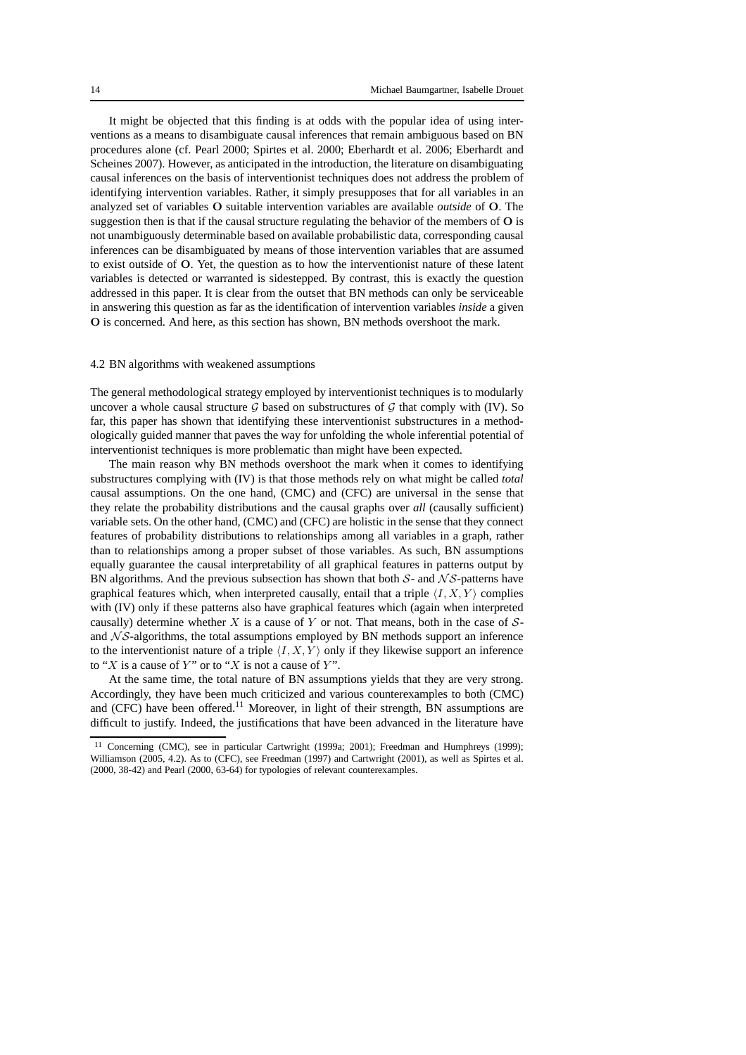It might be objected that this finding is at odds with the popular idea of using interventions as a means to disambiguate causal inferences that remain ambiguous based on BN procedures alone (cf. Pearl 2000; Spirtes et al. 2000; Eberhardt et al. 2006; Eberhardt and Scheines 2007). However, as anticipated in the introduction, the literature on disambiguating causal inferences on the basis of interventionist techniques does not address the problem of identifying intervention variables. Rather, it simply presupposes that for all variables in an analyzed set of variables O suitable intervention variables are available *outside* of O. The suggestion then is that if the causal structure regulating the behavior of the members of O is not unambiguously determinable based on available probabilistic data, corresponding causal inferences can be disambiguated by means of those intervention variables that are assumed to exist outside of O. Yet, the question as to how the interventionist nature of these latent variables is detected or warranted is sidestepped. By contrast, this is exactly the question addressed in this paper. It is clear from the outset that BN methods can only be serviceable in answering this question as far as the identification of intervention variables *inside* a given O is concerned. And here, as this section has shown, BN methods overshoot the mark.

#### 4.2 BN algorithms with weakened assumptions

The general methodological strategy employed by interventionist techniques is to modularly uncover a whole causal structure G based on substructures of G that comply with (IV). So far, this paper has shown that identifying these interventionist substructures in a methodologically guided manner that paves the way for unfolding the whole inferential potential of interventionist techniques is more problematic than might have been expected.

The main reason why BN methods overshoot the mark when it comes to identifying substructures complying with (IV) is that those methods rely on what might be called *total* causal assumptions. On the one hand, (CMC) and (CFC) are universal in the sense that they relate the probability distributions and the causal graphs over *all* (causally sufficient) variable sets. On the other hand, (CMC) and (CFC) are holistic in the sense that they connect features of probability distributions to relationships among all variables in a graph, rather than to relationships among a proper subset of those variables. As such, BN assumptions equally guarantee the causal interpretability of all graphical features in patterns output by BN algorithms. And the previous subsection has shown that both  $S$ - and  $\mathcal{NS}$ -patterns have graphical features which, when interpreted causally, entail that a triple  $\langle I, X, Y \rangle$  complies with (IV) only if these patterns also have graphical features which (again when interpreted causally) determine whether X is a cause of Y or not. That means, both in the case of  $S$ and  $\mathcal{N} \mathcal{S}$ -algorithms, the total assumptions employed by BN methods support an inference to the interventionist nature of a triple  $\langle I, X, Y \rangle$  only if they likewise support an inference to "X is a cause of Y" or to "X is not a cause of Y".

At the same time, the total nature of BN assumptions yields that they are very strong. Accordingly, they have been much criticized and various counterexamples to both (CMC) and (CFC) have been offered.<sup>11</sup> Moreover, in light of their strength, BN assumptions are difficult to justify. Indeed, the justifications that have been advanced in the literature have

<sup>&</sup>lt;sup>11</sup> Concerning (CMC), see in particular Cartwright (1999a; 2001); Freedman and Humphreys (1999); Williamson (2005, 4.2). As to (CFC), see Freedman (1997) and Cartwright (2001), as well as Spirtes et al. (2000, 38-42) and Pearl (2000, 63-64) for typologies of relevant counterexamples.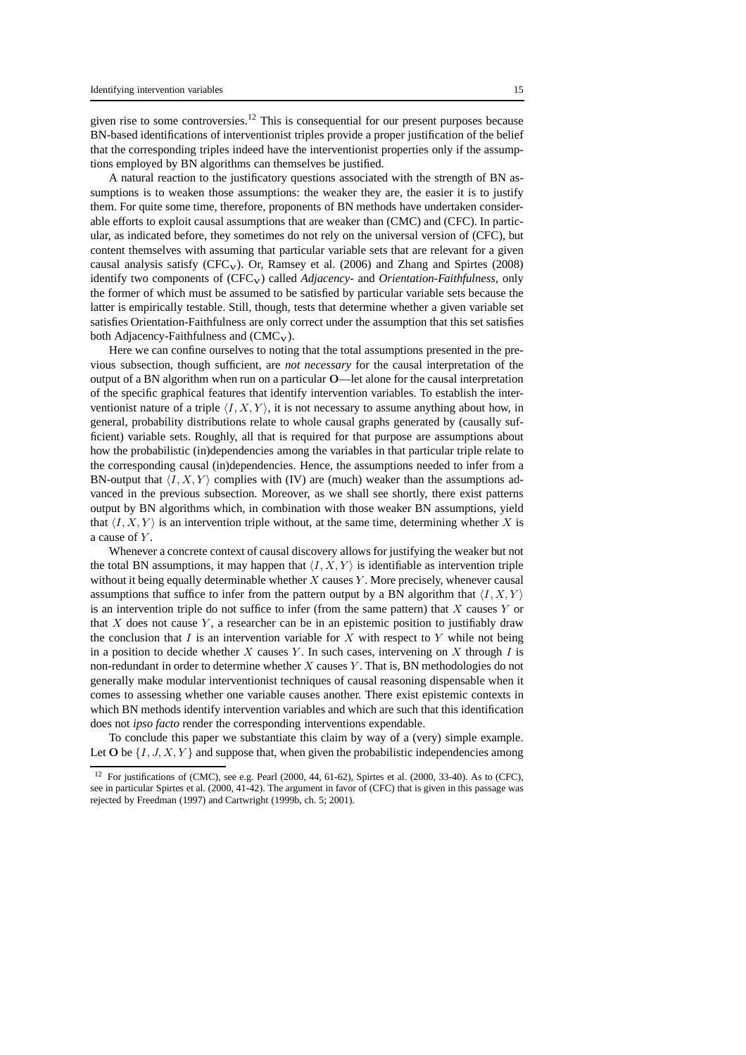given rise to some controversies.<sup>12</sup> This is consequential for our present purposes because BN-based identifications of interventionist triples provide a proper justification of the belief that the corresponding triples indeed have the interventionist properties only if the assumptions employed by BN algorithms can themselves be justified.

A natural reaction to the justificatory questions associated with the strength of BN assumptions is to weaken those assumptions: the weaker they are, the easier it is to justify them. For quite some time, therefore, proponents of BN methods have undertaken considerable efforts to exploit causal assumptions that are weaker than (CMC) and (CFC). In particular, as indicated before, they sometimes do not rely on the universal version of (CFC), but content themselves with assuming that particular variable sets that are relevant for a given causal analysis satisfy  $(CFC_V)$ . Or, Ramsey et al. (2006) and Zhang and Spirtes (2008) identify two components of (CFC<sub>V</sub>) called *Adjacency*- and *Orientation-Faithfulness*, only the former of which must be assumed to be satisfied by particular variable sets because the latter is empirically testable. Still, though, tests that determine whether a given variable set satisfies Orientation-Faithfulness are only correct under the assumption that this set satisfies both Adjacency-Faithfulness and  $(CMC_V)$ .

Here we can confine ourselves to noting that the total assumptions presented in the previous subsection, though sufficient, are *not necessary* for the causal interpretation of the output of a BN algorithm when run on a particular O—let alone for the causal interpretation of the specific graphical features that identify intervention variables. To establish the interventionist nature of a triple  $\langle I, X, Y \rangle$ , it is not necessary to assume anything about how, in general, probability distributions relate to whole causal graphs generated by (causally sufficient) variable sets. Roughly, all that is required for that purpose are assumptions about how the probabilistic (in)dependencies among the variables in that particular triple relate to the corresponding causal (in)dependencies. Hence, the assumptions needed to infer from a BN-output that  $\langle I, X, Y \rangle$  complies with (IV) are (much) weaker than the assumptions advanced in the previous subsection. Moreover, as we shall see shortly, there exist patterns output by BN algorithms which, in combination with those weaker BN assumptions, yield that  $\langle I, X, Y \rangle$  is an intervention triple without, at the same time, determining whether X is a cause of Y .

Whenever a concrete context of causal discovery allows for justifying the weaker but not the total BN assumptions, it may happen that  $\langle I, X, Y \rangle$  is identifiable as intervention triple without it being equally determinable whether  $X$  causes  $Y$ . More precisely, whenever causal assumptions that suffice to infer from the pattern output by a BN algorithm that  $\langle I, X, Y \rangle$ is an intervention triple do not suffice to infer (from the same pattern) that  $X$  causes  $Y$  or that  $X$  does not cause  $Y$ , a researcher can be in an epistemic position to justifiably draw the conclusion that  $I$  is an intervention variable for  $X$  with respect to  $Y$  while not being in a position to decide whether X causes Y. In such cases, intervening on X through I is non-redundant in order to determine whether  $X$  causes  $Y$ . That is, BN methodologies do not generally make modular interventionist techniques of causal reasoning dispensable when it comes to assessing whether one variable causes another. There exist epistemic contexts in which BN methods identify intervention variables and which are such that this identification does not *ipso facto* render the corresponding interventions expendable.

To conclude this paper we substantiate this claim by way of a (very) simple example. Let O be  $\{I, J, X, Y\}$  and suppose that, when given the probabilistic independencies among

<sup>&</sup>lt;sup>12</sup> For justifications of (CMC), see e.g. Pearl (2000, 44, 61-62), Spirtes et al. (2000, 33-40). As to (CFC), see in particular Spirtes et al. (2000, 41-42). The argument in favor of (CFC) that is given in this passage was rejected by Freedman (1997) and Cartwright (1999b, ch. 5; 2001).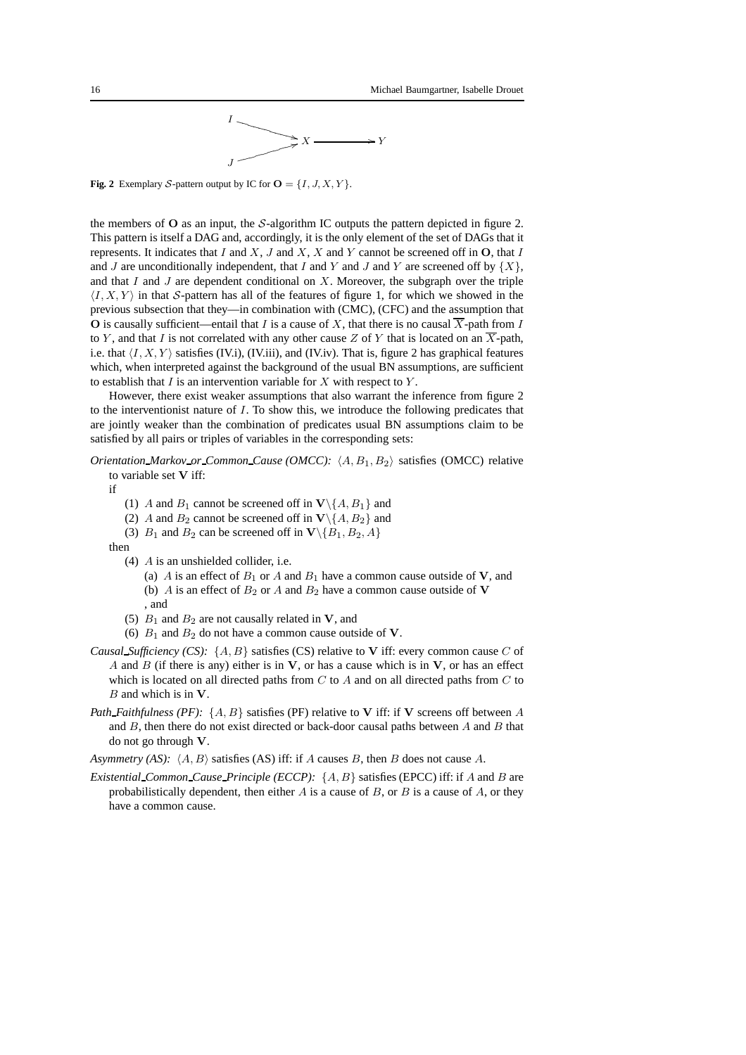

**Fig. 2** Exemplary S-pattern output by IC for  $O = \{I, J, X, Y\}$ .

the members of  $O$  as an input, the S-algorithm IC outputs the pattern depicted in figure 2. This pattern is itself a DAG and, accordingly, it is the only element of the set of DAGs that it represents. It indicates that I and  $X$ , J and  $X$ , X and Y cannot be screened off in  $O$ , that I and J are unconditionally independent, that I and Y and J and Y are screened off by  $\{X\}$ , and that  $I$  and  $J$  are dependent conditional on  $X$ . Moreover, the subgraph over the triple  $\langle I, X, Y \rangle$  in that S-pattern has all of the features of figure 1, for which we showed in the previous subsection that they—in combination with (CMC), (CFC) and the assumption that O is causally sufficient—entail that I is a cause of X, that there is no causal  $\overline{X}$ -path from I to Y, and that I is not correlated with any other cause Z of Y that is located on an  $\overline{X}$ -path, i.e. that  $\langle I, X, Y \rangle$  satisfies (IV.i), (IV.iii), and (IV.iv). That is, figure 2 has graphical features which, when interpreted against the background of the usual BN assumptions, are sufficient to establish that  $I$  is an intervention variable for  $X$  with respect to  $Y$ .

However, there exist weaker assumptions that also warrant the inference from figure 2 to the interventionist nature of  $I$ . To show this, we introduce the following predicates that are jointly weaker than the combination of predicates usual BN assumptions claim to be satisfied by all pairs or triples of variables in the corresponding sets:

*Orientation\_Markov\_or\_Common\_Cause (OMCC):*  $\langle A, B_1, B_2 \rangle$  satisfies (OMCC) relative to variable set V iff:

if

- (1) A and  $B_1$  cannot be screened off in  $\mathbf{V}\backslash\{A, B_1\}$  and
- (2) A and  $B_2$  cannot be screened off in  $\mathbf{V}\setminus\{A, B_2\}$  and
- (3)  $B_1$  and  $B_2$  can be screened off in  $\mathbf{V}\backslash\{B_1, B_2, A\}$

then

- (4) A is an unshielded collider, i.e.
	- (a) A is an effect of  $B_1$  or A and  $B_1$  have a common cause outside of V, and (b) A is an effect of  $B_2$  or A and  $B_2$  have a common cause outside of V , and
- (5)  $B_1$  and  $B_2$  are not causally related in **V**, and
- (6)  $B_1$  and  $B_2$  do not have a common cause outside of **V**.
- *Causal Sufficiency (CS):*  $\{A, B\}$  satisfies (CS) relative to V iff: every common cause C of A and B (if there is any) either is in  $V$ , or has a cause which is in  $V$ , or has an effect which is located on all directed paths from  $C$  to  $A$  and on all directed paths from  $C$  to  $B$  and which is in  $V$ .
- *Path Faithfulness (PF)*: {A, B} satisfies (PF) relative to V iff: if V screens off between A and  $B$ , then there do not exist directed or back-door causal paths between  $A$  and  $B$  that do not go through V.

*Asymmetry (AS):*  $\langle A, B \rangle$  satisfies (AS) iff: if A causes B, then B does not cause A.

*Existential Common Cause Principle (ECCP):* {A, B} satisfies (EPCC) iff: if A and B are probabilistically dependent, then either  $A$  is a cause of  $B$ , or  $B$  is a cause of  $A$ , or they have a common cause.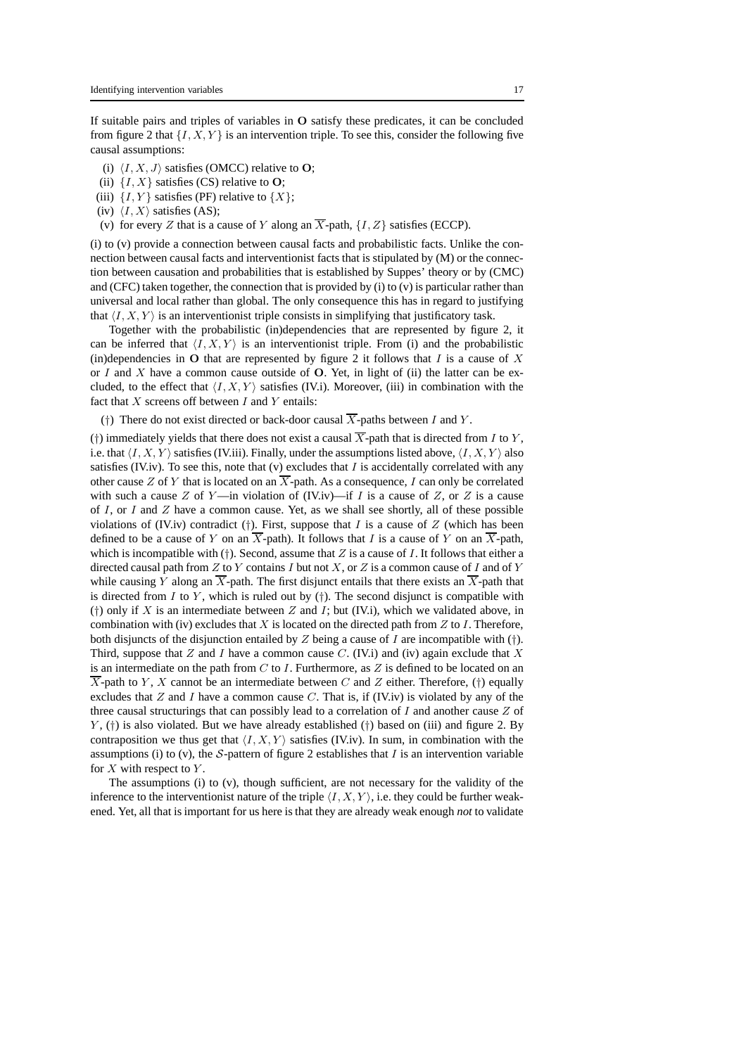If suitable pairs and triples of variables in O satisfy these predicates, it can be concluded from figure 2 that  $\{I, X, Y\}$  is an intervention triple. To see this, consider the following five causal assumptions:

- (i)  $\langle I, X, J \rangle$  satisfies (OMCC) relative to O;
- (ii)  $\{I, X\}$  satisfies (CS) relative to O;
- (iii)  $\{I, Y\}$  satisfies (PF) relative to  $\{X\}$ ;
- (iv)  $\langle I, X \rangle$  satisfies (AS);
- (v) for every Z that is a cause of Y along an  $\overline{X}$ -path,  $\{I, Z\}$  satisfies (ECCP).

(i) to (v) provide a connection between causal facts and probabilistic facts. Unlike the connection between causal facts and interventionist facts that is stipulated by (M) or the connection between causation and probabilities that is established by Suppes' theory or by (CMC) and (CFC) taken together, the connection that is provided by  $(i)$  to  $(v)$  is particular rather than universal and local rather than global. The only consequence this has in regard to justifying that  $\langle I, X, Y \rangle$  is an interventionist triple consists in simplifying that justificatory task.

Together with the probabilistic (in)dependencies that are represented by figure 2, it can be inferred that  $\langle I, X, Y \rangle$  is an interventionist triple. From (i) and the probabilistic (in)dependencies in O that are represented by figure 2 it follows that  $I$  is a cause of  $X$ or I and X have a common cause outside of  $O$ . Yet, in light of (ii) the latter can be excluded, to the effect that  $\langle I, X, Y \rangle$  satisfies (IV.i). Moreover, (iii) in combination with the fact that  $X$  screens off between  $I$  and  $Y$  entails:

(†) There do not exist directed or back-door causal  $\overline{X}$ -paths between I and Y.

(†) immediately yields that there does not exist a causal  $\overline{X}$ -path that is directed from I to Y, i.e. that  $\langle I, X, Y \rangle$  satisfies (IV.iii). Finally, under the assumptions listed above,  $\langle I, X, Y \rangle$  also satisfies (IV.iv). To see this, note that (v) excludes that  $I$  is accidentally correlated with any other cause Z of Y that is located on an  $\overline{X}$ -path. As a consequence, I can only be correlated with such a cause Z of Y—in violation of (IV.iv)—if I is a cause of Z, or Z is a cause of I, or I and  $Z$  have a common cause. Yet, as we shall see shortly, all of these possible violations of (IV.iv) contradict (†). First, suppose that  $I$  is a cause of  $Z$  (which has been defined to be a cause of Y on an  $\overline{X}$ -path). It follows that I is a cause of Y on an  $\overline{X}$ -path, which is incompatible with (†). Second, assume that  $Z$  is a cause of  $I$ . It follows that either a directed causal path from  $Z$  to  $Y$  contains  $I$  but not  $X$ , or  $Z$  is a common cause of  $I$  and of  $Y$ while causing Y along an  $\overline{X}$ -path. The first disjunct entails that there exists an  $\overline{X}$ -path that is directed from I to Y, which is ruled out by  $(†)$ . The second disjunct is compatible with (†) only if X is an intermediate between Z and I; but (IV.i), which we validated above, in combination with (iv) excludes that X is located on the directed path from  $Z$  to  $I$ . Therefore, both disjuncts of the disjunction entailed by Z being a cause of I are incompatible with  $(\dagger)$ . Third, suppose that Z and I have a common cause C. (IV.i) and (iv) again exclude that X is an intermediate on the path from  $C$  to I. Furthermore, as  $Z$  is defined to be located on an  $\overline{X}$ -path to Y, X cannot be an intermediate between C and Z either. Therefore, (†) equally excludes that  $Z$  and  $I$  have a common cause  $C$ . That is, if (IV.iv) is violated by any of the three causal structurings that can possibly lead to a correlation of  $I$  and another cause  $Z$  of  $Y$ , (†) is also violated. But we have already established (†) based on (iii) and figure 2. By contraposition we thus get that  $\langle I, X, Y \rangle$  satisfies (IV.iv). In sum, in combination with the assumptions (i) to (v), the S-pattern of figure 2 establishes that I is an intervention variable for  $X$  with respect to  $Y$ .

The assumptions (i) to (v), though sufficient, are not necessary for the validity of the inference to the interventionist nature of the triple  $\langle I, X, Y \rangle$ , i.e. they could be further weakened. Yet, all that is important for us here is that they are already weak enough *not* to validate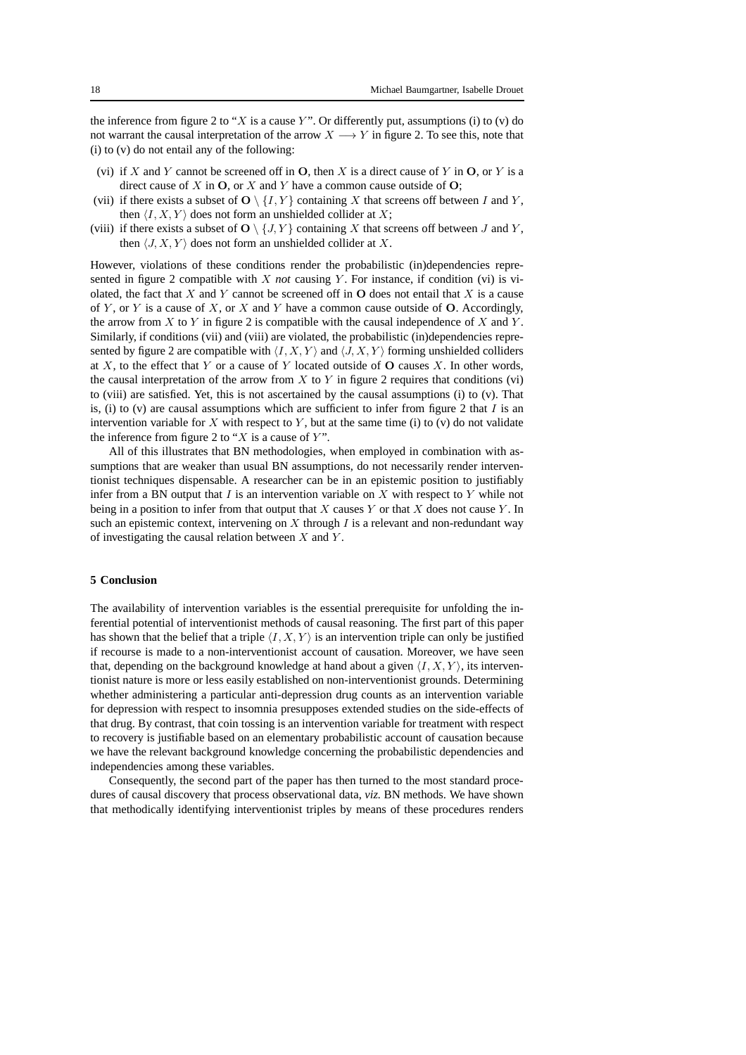the inference from figure 2 to "X is a cause Y". Or differently put, assumptions (i) to (v) do not warrant the causal interpretation of the arrow  $X \longrightarrow Y$  in figure 2. To see this, note that (i) to (v) do not entail any of the following:

- (vi) if X and Y cannot be screened off in O, then X is a direct cause of Y in O, or Y is a direct cause of  $X$  in  $O$ , or  $X$  and  $Y$  have a common cause outside of  $O$ ;
- (vii) if there exists a subset of  $O \setminus \{I, Y\}$  containing X that screens off between I and Y, then  $\langle I, X, Y \rangle$  does not form an unshielded collider at X;
- (viii) if there exists a subset of  $O \setminus \{J, Y\}$  containing X that screens off between J and Y, then  $\langle J, X, Y \rangle$  does not form an unshielded collider at X.

However, violations of these conditions render the probabilistic (in)dependencies represented in figure 2 compatible with X *not* causing Y. For instance, if condition (vi) is violated, the fact that  $X$  and  $Y$  cannot be screened off in  $O$  does not entail that  $X$  is a cause of Y, or Y is a cause of X, or X and Y have a common cause outside of O. Accordingly, the arrow from  $X$  to  $Y$  in figure 2 is compatible with the causal independence of  $X$  and  $Y$ . Similarly, if conditions (vii) and (viii) are violated, the probabilistic (in)dependencies represented by figure 2 are compatible with  $\langle I, X, Y \rangle$  and  $\langle J, X, Y \rangle$  forming unshielded colliders at X, to the effect that Y or a cause of Y located outside of  $O$  causes X. In other words, the causal interpretation of the arrow from  $X$  to  $Y$  in figure 2 requires that conditions (vi) to (viii) are satisfied. Yet, this is not ascertained by the causal assumptions (i) to (v). That is, (i) to (v) are causal assumptions which are sufficient to infer from figure 2 that  $I$  is an intervention variable for X with respect to Y, but at the same time (i) to (v) do not validate the inference from figure 2 to " $X$  is a cause of  $Y$ ".

All of this illustrates that BN methodologies, when employed in combination with assumptions that are weaker than usual BN assumptions, do not necessarily render interventionist techniques dispensable. A researcher can be in an epistemic position to justifiably infer from a BN output that  $I$  is an intervention variable on  $X$  with respect to  $Y$  while not being in a position to infer from that output that  $X$  causes  $Y$  or that  $X$  does not cause  $Y$ . In such an epistemic context, intervening on X through I is a relevant and non-redundant way of investigating the causal relation between  $X$  and  $Y$ .

# **5 Conclusion**

The availability of intervention variables is the essential prerequisite for unfolding the inferential potential of interventionist methods of causal reasoning. The first part of this paper has shown that the belief that a triple  $\langle I, X, Y \rangle$  is an intervention triple can only be justified if recourse is made to a non-interventionist account of causation. Moreover, we have seen that, depending on the background knowledge at hand about a given  $\langle I, X, Y \rangle$ , its interventionist nature is more or less easily established on non-interventionist grounds. Determining whether administering a particular anti-depression drug counts as an intervention variable for depression with respect to insomnia presupposes extended studies on the side-effects of that drug. By contrast, that coin tossing is an intervention variable for treatment with respect to recovery is justifiable based on an elementary probabilistic account of causation because we have the relevant background knowledge concerning the probabilistic dependencies and independencies among these variables.

Consequently, the second part of the paper has then turned to the most standard procedures of causal discovery that process observational data, *viz.* BN methods. We have shown that methodically identifying interventionist triples by means of these procedures renders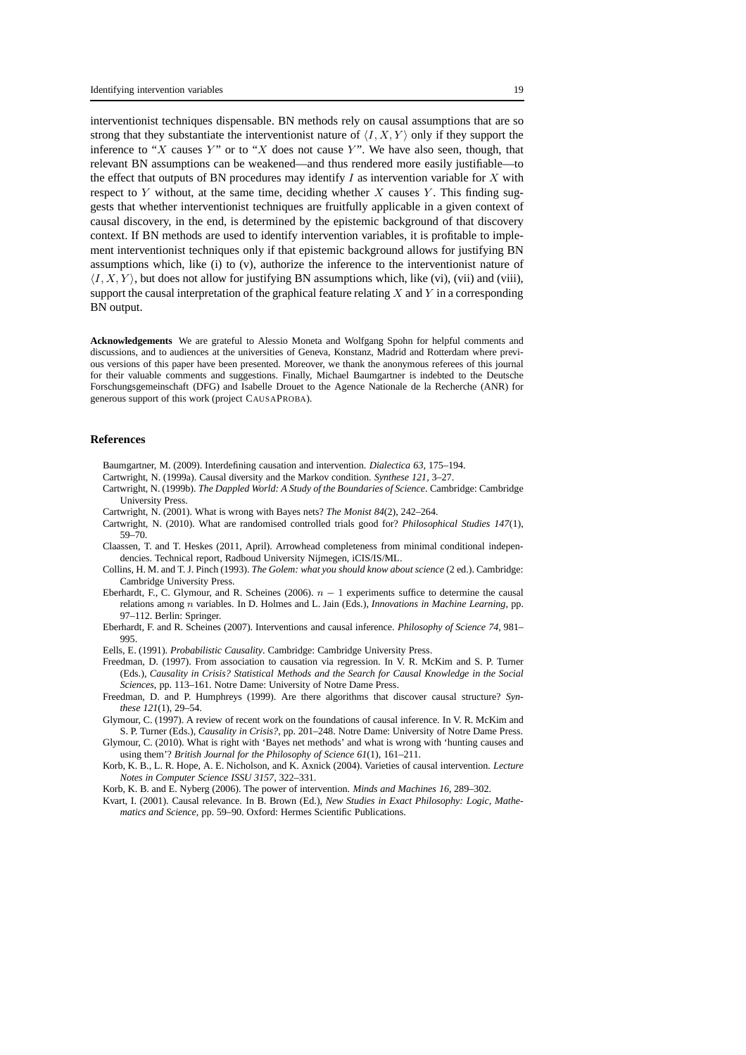interventionist techniques dispensable. BN methods rely on causal assumptions that are so strong that they substantiate the interventionist nature of  $\langle I, X, Y \rangle$  only if they support the inference to "X causes Y" or to "X does not cause Y". We have also seen, though, that relevant BN assumptions can be weakened—and thus rendered more easily justifiable—to the effect that outputs of BN procedures may identify  $I$  as intervention variable for  $X$  with respect to  $Y$  without, at the same time, deciding whether  $X$  causes  $Y$ . This finding suggests that whether interventionist techniques are fruitfully applicable in a given context of causal discovery, in the end, is determined by the epistemic background of that discovery context. If BN methods are used to identify intervention variables, it is profitable to implement interventionist techniques only if that epistemic background allows for justifying BN assumptions which, like (i) to (v), authorize the inference to the interventionist nature of  $\langle I, X, Y \rangle$ , but does not allow for justifying BN assumptions which, like (vi), (vii) and (viii), support the causal interpretation of the graphical feature relating  $X$  and  $Y$  in a corresponding BN output.

**Acknowledgements** We are grateful to Alessio Moneta and Wolfgang Spohn for helpful comments and discussions, and to audiences at the universities of Geneva, Konstanz, Madrid and Rotterdam where previous versions of this paper have been presented. Moreover, we thank the anonymous referees of this journal for their valuable comments and suggestions. Finally, Michael Baumgartner is indebted to the Deutsche Forschungsgemeinschaft (DFG) and Isabelle Drouet to the Agence Nationale de la Recherche (ANR) for generous support of this work (project CAUSAPROBA).

#### **References**

- Baumgartner, M. (2009). Interdefining causation and intervention. *Dialectica 63*, 175–194.
- Cartwright, N. (1999a). Causal diversity and the Markov condition. *Synthese 121*, 3–27.
- Cartwright, N. (1999b). *The Dappled World: A Study of the Boundaries of Science*. Cambridge: Cambridge University Press.
- Cartwright, N. (2001). What is wrong with Bayes nets? *The Monist 84*(2), 242–264.
- Cartwright, N. (2010). What are randomised controlled trials good for? *Philosophical Studies 147*(1), 59–70.
- Claassen, T. and T. Heskes (2011, April). Arrowhead completeness from minimal conditional independencies. Technical report, Radboud University Nijmegen, iCIS/IS/ML.
- Collins, H. M. and T. J. Pinch (1993). *The Golem: what you should know about science* (2 ed.). Cambridge: Cambridge University Press.
- Eberhardt, F., C. Glymour, and R. Scheines (2006).  $n 1$  experiments suffice to determine the causal relations among n variables. In D. Holmes and L. Jain (Eds.), *Innovations in Machine Learning*, pp. 97–112. Berlin: Springer.
- Eberhardt, F. and R. Scheines (2007). Interventions and causal inference. *Philosophy of Science 74*, 981– 995.
- Eells, E. (1991). *Probabilistic Causality*. Cambridge: Cambridge University Press.
- Freedman, D. (1997). From association to causation via regression. In V. R. McKim and S. P. Turner (Eds.), *Causality in Crisis? Statistical Methods and the Search for Causal Knowledge in the Social Sciences*, pp. 113–161. Notre Dame: University of Notre Dame Press.
- Freedman, D. and P. Humphreys (1999). Are there algorithms that discover causal structure? *Synthese 121*(1), 29–54.
- Glymour, C. (1997). A review of recent work on the foundations of causal inference. In V. R. McKim and S. P. Turner (Eds.), *Causality in Crisis?*, pp. 201–248. Notre Dame: University of Notre Dame Press.
- Glymour, C. (2010). What is right with 'Bayes net methods' and what is wrong with 'hunting causes and using them'? *British Journal for the Philosophy of Science 61*(1), 161–211.
- Korb, K. B., L. R. Hope, A. E. Nicholson, and K. Axnick (2004). Varieties of causal intervention. *Lecture Notes in Computer Science ISSU 3157*, 322–331.
- Korb, K. B. and E. Nyberg (2006). The power of intervention. *Minds and Machines 16*, 289–302.
- Kvart, I. (2001). Causal relevance. In B. Brown (Ed.), *New Studies in Exact Philosophy: Logic, Mathematics and Science*, pp. 59–90. Oxford: Hermes Scientific Publications.